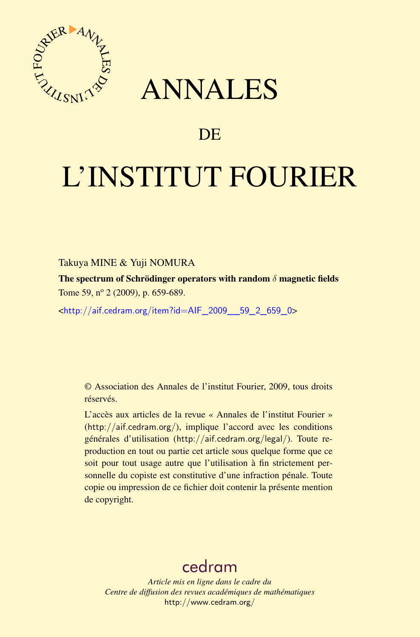

## ANNALES

## **DE**

# L'INSTITUT FOURIER

#### Takuya MINE & Yuji NOMURA

The spectrum of Schrödinger operators with random  $\delta$  magnetic fields Tome 59, nº 2 (2009), p. 659-689.

<[http://aif.cedram.org/item?id=AIF\\_2009\\_\\_59\\_2\\_659\\_0](http://aif.cedram.org/item?id=AIF_2009__59_2_659_0)>

© Association des Annales de l'institut Fourier, 2009, tous droits réservés.

L'accès aux articles de la revue « Annales de l'institut Fourier » (<http://aif.cedram.org/>), implique l'accord avec les conditions générales d'utilisation (<http://aif.cedram.org/legal/>). Toute reproduction en tout ou partie cet article sous quelque forme que ce soit pour tout usage autre que l'utilisation à fin strictement personnelle du copiste est constitutive d'une infraction pénale. Toute copie ou impression de ce fichier doit contenir la présente mention de copyright.

## [cedram](http://www.cedram.org/)

*Article mis en ligne dans le cadre du Centre de diffusion des revues académiques de mathématiques* <http://www.cedram.org/>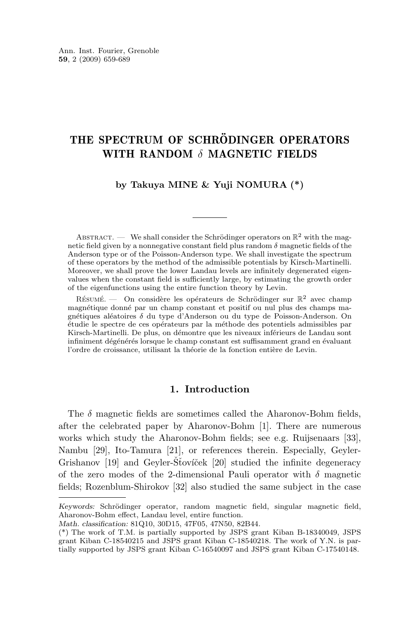### THE SPECTRUM OF SCHRÖDINGER OPERATORS WITH RANDOM  $\delta$  MAGNETIC FIELDS

#### **by Takuya MINE & Yuji NOMURA (\*)**

ABSTRACT. — We shall consider the Schrödinger operators on  $\mathbb{R}^2$  with the magnetic field given by a nonnegative constant field plus random  $\delta$  magnetic fields of the Anderson type or of the Poisson-Anderson type. We shall investigate the spectrum of these operators by the method of the admissible potentials by Kirsch-Martinelli. Moreover, we shall prove the lower Landau levels are infinitely degenerated eigenvalues when the constant field is sufficiently large, by estimating the growth order of the eigenfunctions using the entire function theory by Levin.

RÉSUMÉ. — On considère les opérateurs de Schrödinger sur  $\mathbb{R}^2$  avec champ magnétique donné par un champ constant et positif ou nul plus des champs magnétiques aléatoires δ du type d'Anderson ou du type de Poisson-Anderson. On étudie le spectre de ces opérateurs par la méthode des potentiels admissibles par Kirsch-Martinelli. De plus, on démontre que les niveaux inférieurs de Landau sont infiniment dégénérés lorsque le champ constant est suffisamment grand en évaluant l'ordre de croissance, utilisant la théorie de la fonction entière de Levin.

#### **1. Introduction**

The  $\delta$  magnetic fields are sometimes called the Aharonov-Bohm fields, after the celebrated paper by Aharonov-Bohm [\[1\]](#page-29-0). There are numerous works which study the Aharonov-Bohm fields; see e.g. Ruijsenaars [\[33\]](#page-31-0), Nambu [\[29\]](#page-30-0), Ito-Tamura [\[21\]](#page-30-0), or references therein. Especially, Geyler-Grishanov [\[19\]](#page-30-0) and Geyler-Stovíček [\[20\]](#page-30-0) studied the infinite degeneracy of the zero modes of the 2-dimensional Pauli operator with  $\delta$  magnetic fields; Rozenblum-Shirokov [\[32\]](#page-30-0) also studied the same subject in the case

*Keywords:* Schrödinger operator, random magnetic field, singular magnetic field, Aharonov-Bohm effect, Landau level, entire function.

*Math. classification:* 81Q10, 30D15, 47F05, 47N50, 82B44.

<sup>(\*)</sup> The work of T.M. is partially supported by JSPS grant Kiban B-18340049, JSPS grant Kiban C-18540215 and JSPS grant Kiban C-18540218. The work of Y.N. is partially supported by JSPS grant Kiban C-16540097 and JSPS grant Kiban C-17540148.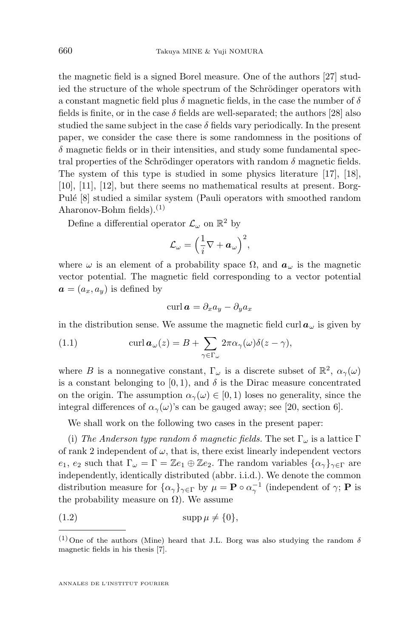<span id="page-2-0"></span>the magnetic field is a signed Borel measure. One of the authors [\[27\]](#page-30-0) studied the structure of the whole spectrum of the Schrödinger operators with a constant magnetic field plus  $\delta$  magnetic fields, in the case the number of  $\delta$ fields is finite, or in the case  $\delta$  fields are well-separated; the authors [\[28\]](#page-30-0) also studied the same subject in the case  $\delta$  fields vary periodically. In the present paper, we consider the case there is some randomness in the positions of  $\delta$  magnetic fields or in their intensities, and study some fundamental spectral properties of the Schrödinger operators with random  $\delta$  magnetic fields. The system of this type is studied in some physics literature [\[17\]](#page-30-0), [\[18\]](#page-30-0), [\[10\]](#page-29-0), [\[11\]](#page-29-0), [\[12\]](#page-30-0), but there seems no mathematical results at present. Borg-Pulé [\[8\]](#page-29-0) studied a similar system (Pauli operators with smoothed random Aharonov-Bohm fields). $(1)$ 

Define a differential operator  $\mathcal{L}_{\omega}$  on  $\mathbb{R}^2$  by

$$
\mathcal{L}_{\omega} = \Big(\frac{1}{i}\nabla + \boldsymbol{a}_{\omega}\Big)^2,
$$

where  $\omega$  is an element of a probability space  $\Omega$ , and  $a_{\omega}$  is the magnetic vector potential. The magnetic field corresponding to a vector potential  $\mathbf{a} = (a_x, a_y)$  is defined by

$$
\operatorname{curl} \boldsymbol{a} = \partial_x a_y - \partial_y a_x
$$

in the distribution sense. We assume the magnetic field curl  $a_{\omega}$  is given by

(1.1) 
$$
\operatorname{curl} \boldsymbol{a}_{\omega}(z) = B + \sum_{\gamma \in \Gamma_{\omega}} 2\pi \alpha_{\gamma}(\omega) \delta(z - \gamma),
$$

where B is a nonnegative constant,  $\Gamma_{\omega}$  is a discrete subset of  $\mathbb{R}^2$ ,  $\alpha_{\gamma}(\omega)$ is a constant belonging to [0, 1], and  $\delta$  is the Dirac measure concentrated on the origin. The assumption  $\alpha_{\gamma}(\omega) \in [0,1)$  loses no generality, since the integral differences of  $\alpha_{\gamma}(\omega)$ 's can be gauged away; see [\[20,](#page-30-0) section 6].

We shall work on the following two cases in the present paper:

(i) *The Anderson type random*  $\delta$  *magnetic fields.* The set  $\Gamma_{\omega}$  is a lattice  $\Gamma$ of rank 2 independent of  $\omega$ , that is, there exist linearly independent vectors  $e_1, e_2$  such that  $\Gamma_\omega = \Gamma = \mathbb{Z}e_1 \oplus \mathbb{Z}e_2$ . The random variables  $\{\alpha_\gamma\}_{\gamma \in \Gamma}$  are independently, identically distributed (abbr. i.i.d.). We denote the common distribution measure for  $\{\alpha_\gamma\}_{\gamma \in \Gamma}$  by  $\mu = \mathbf{P} \circ \alpha_\gamma^{-1}$  (independent of  $\gamma$ ;  $\mathbf{P}$  is the probability measure on  $\Omega$ ). We assume

$$
(1.2) \t\t supp \mu \neq \{0\},\
$$

<sup>&</sup>lt;sup>(1)</sup> One of the authors (Mine) heard that J.L. Borg was also studying the random  $\delta$ magnetic fields in his thesis [\[7\]](#page-29-0).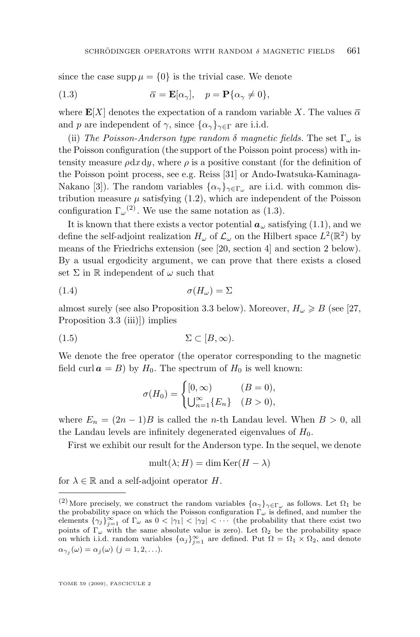<span id="page-3-0"></span>since the case supp  $\mu = \{0\}$  is the trivial case. We denote

(1.3) 
$$
\overline{\alpha} = \mathbf{E}[\alpha_{\gamma}], \quad p = \mathbf{P}\{\alpha_{\gamma} \neq 0\},
$$

where  $\mathbf{E}[X]$  denotes the expectation of a random variable X. The values  $\overline{\alpha}$ and p are independent of  $\gamma$ , since  $\{\alpha_{\gamma}\}_{\gamma \in \Gamma}$  are i.i.d.

(ii) *The Poisson-Anderson type random*  $\delta$  *magnetic fields.* The set  $\Gamma_{\omega}$  is the Poisson configuration (the support of the Poisson point process) with intensity measure  $\rho dx dy$ , where  $\rho$  is a positive constant (for the definition of the Poisson point process, see e.g. Reiss [\[31\]](#page-30-0) or Ando-Iwatsuka-Kaminaga-Nakano [\[3\]](#page-29-0)). The random variables  $\{\alpha_{\gamma}\}_{\gamma \in \Gamma_{\omega}}$  are i.i.d. with common distribution measure  $\mu$  satisfying [\(1.2\)](#page-2-0), which are independent of the Poisson configuration  $\Gamma_{\omega}^{(2)}$ . We use the same notation as (1.3).

It is known that there exists a vector potential  $a_{\omega}$  satisfying [\(1.1\)](#page-2-0), and we define the self-adjoint realization  $H_{\omega}$  of  $\mathcal{L}_{\omega}$  on the Hilbert space  $L^2(\mathbb{R}^2)$  by means of the Friedrichs extension (see [\[20,](#page-30-0) section 4] and section [2](#page-6-0) below). By a usual ergodicity argument, we can prove that there exists a closed set  $\Sigma$  in R independent of  $\omega$  such that

$$
\sigma(H_{\omega}) = \Sigma
$$

almost surely (see also Proposition [3.3](#page-8-0) below). Moreover,  $H_{\omega} \geq B$  (see [\[27,](#page-30-0) Proposition 3.3 (iii)]) implies

$$
(1.5) \t\t \t\t \Sigma \subset [B,\infty).
$$

We denote the free operator (the operator corresponding to the magnetic field curl  $\mathbf{a} = B$ ) by  $H_0$ . The spectrum of  $H_0$  is well known:

$$
\sigma(H_0) = \begin{cases} [0, \infty) & (B = 0), \\ \bigcup_{n=1}^{\infty} \{E_n\} & (B > 0), \end{cases}
$$

where  $E_n = (2n-1)B$  is called the *n*-th Landau level. When  $B > 0$ , all the Landau levels are infinitely degenerated eigenvalues of  $H_0$ .

First we exhibit our result for the Anderson type. In the sequel, we denote

$$
\text{mult}(\lambda; H) = \dim \text{Ker}(H - \lambda)
$$

for  $\lambda \in \mathbb{R}$  and a self-adjoint operator H.

<sup>&</sup>lt;sup>(2)</sup> More precisely, we construct the random variables  $\{\alpha_\gamma\}_{\gamma \in \Gamma_\omega}$  as follows. Let  $\Omega_1$  be the probability space on which the Poisson configuration  $\Gamma_{\omega}$  is defined, and number the elements  $\{\gamma_j\}_{j=1}^{\infty}$  of  $\Gamma_{\omega}$  as  $0 < |\gamma_1| < |\gamma_2| < \cdots$  (the probability that there exist two points of  $\Gamma_{\omega}$  with the same absolute value is zero). Let  $\Omega_2$  be the probability space<br>on which i.i.d. random variables  $\{\alpha_j\}_{j=1}^{\infty}$  are defined. Put  $\Omega = \Omega_1 \times \Omega_2$ , and denote  $\alpha_{\gamma_j}(\omega) = \alpha_j(\omega)$   $(j = 1, 2, \ldots).$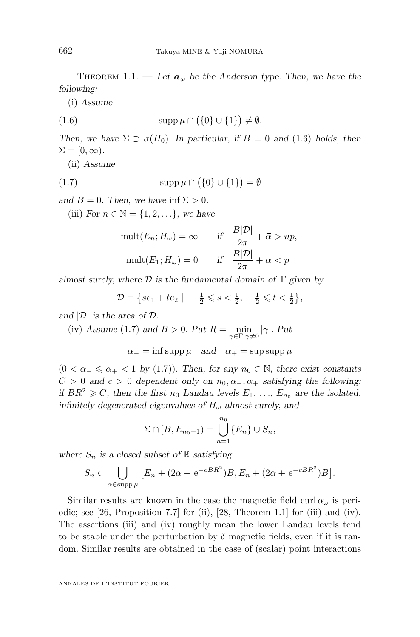THEOREM 1.1. — Let  $a_{\omega}$  be the Anderson type. Then, we have the *following:*

(i) *Assume*

$$
(1.6) \t\t supp \mu \cap (\{0\} \cup \{1\}) \neq \emptyset.
$$

*Then, we have*  $\Sigma \supset \sigma(H_0)$ *. In particular, if*  $B = 0$  *and* (1.6) *holds, then*  $\Sigma = [0, \infty)$ .

(ii) *Assume*

$$
(1.7)\qquad \qquad \operatorname{supp}\mu\cap(\{0\}\cup\{1\})=\emptyset
$$

*and*  $B = 0$ *. Then, we have inf*  $\Sigma > 0$ *.* 

(iii) *For*  $n \in \mathbb{N} = \{1, 2, ...\}$ *, we have* 

$$
\text{mult}(E_n; H_\omega) = \infty \qquad \text{if} \quad \frac{B|\mathcal{D}|}{2\pi} + \bar{\alpha} > np,
$$
\n
$$
\text{mult}(E_1; H_\omega) = 0 \qquad \text{if} \quad \frac{B|\mathcal{D}|}{2\pi} + \bar{\alpha} < p
$$

*almost surely, where* D *is the fundamental domain of* Γ *given by*

$$
\mathcal{D} = \{ se_1 + te_2 \mid -\frac{1}{2} \leqslant s < \frac{1}{2}, -\frac{1}{2} \leqslant t < \frac{1}{2} \},
$$

*and* |D| *is the area of* D*.*

(iv) Assume (1.7) and 
$$
B > 0
$$
. Put  $R = \min_{\gamma \in \Gamma, \gamma \neq 0} |\gamma|$ . Put  

$$
\alpha_{-} = \inf \operatorname{supp} \mu \quad \text{and} \quad \alpha_{+} = \sup \operatorname{supp} \mu
$$

 $(0 < \alpha_{-} \le \alpha_{+} < 1$  by (1.7)). Then, for any  $n_0 \in \mathbb{N}$ , there exist constants  $C > 0$  and  $c > 0$  dependent only on  $n_0, \alpha_-, \alpha_+$  satisfying the following: *if*  $BR^2 \geq C$ , then the first  $n_0$  *Landau levels*  $E_1, \ldots, E_{n_0}$  are the isolated, *infinitely degenerated eigenvalues of*  $H_{\omega}$  *almost surely, and* 

$$
\Sigma \cap [B, E_{n_0+1}) = \bigcup_{n=1}^{n_0} \{E_n\} \cup S_n,
$$

where  $S_n$  *is a closed subset of*  $\mathbb R$  *satisfying* 

$$
S_n \subset \bigcup_{\alpha \in \text{supp }\mu} \left[ E_n + (2\alpha - e^{-cBR^2})B, E_n + (2\alpha + e^{-cBR^2})B \right].
$$

Similar results are known in the case the magnetic field  $\text{curl} \alpha_{\omega}$  is peri-odic; see [\[26,](#page-30-0) Proposition 7.7] for (ii), [\[28,](#page-30-0) Theorem 1.1] for (iii) and (iv). The assertions (iii) and (iv) roughly mean the lower Landau levels tend to be stable under the perturbation by  $\delta$  magnetic fields, even if it is random. Similar results are obtained in the case of (scalar) point interactions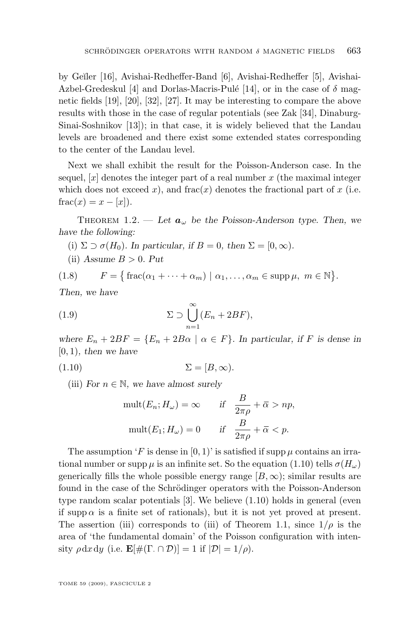<span id="page-5-0"></span>by Ge˘ıler [\[16\]](#page-30-0), Avishai-Redheffer-Band [\[6\]](#page-29-0), Avishai-Redheffer [\[5\]](#page-29-0), Avishai-Azbel-Gredeskul [\[4\]](#page-29-0) and Dorlas-Macris-Pulé [\[14\]](#page-30-0), or in the case of  $\delta$  magnetic fields [\[19\]](#page-30-0), [\[20\]](#page-30-0), [\[32\]](#page-30-0), [\[27\]](#page-30-0). It may be interesting to compare the above results with those in the case of regular potentials (see Zak [\[34\]](#page-31-0), Dinaburg-Sinai-Soshnikov [\[13\]](#page-30-0)); in that case, it is widely believed that the Landau levels are broadened and there exist some extended states corresponding to the center of the Landau level.

Next we shall exhibit the result for the Poisson-Anderson case. In the sequel,  $[x]$  denotes the integer part of a real number x (the maximal integer which does not exceed x), and frac $(x)$  denotes the fractional part of x (i.e.  $frac(x) = x - [x]$ .

THEOREM 1.2. — Let  $a_{\omega}$  be the Poisson-Anderson type. Then, we *have the following:*

- (i)  $\Sigma \supset \sigma(H_0)$ *. In particular, if*  $B = 0$ *, then*  $\Sigma = [0, \infty)$ *.*
- $(iii)$  *Assume*  $B > 0$ *. Put*

(1.8) 
$$
F = \{ \text{frac}(\alpha_1 + \cdots + \alpha_m) \mid \alpha_1, \ldots, \alpha_m \in \text{supp}\,\mu, \ m \in \mathbb{N} \}.
$$

*Then, we have*

(1.9) 
$$
\Sigma \supset \bigcup_{n=1}^{\infty} (E_n + 2BF),
$$

*where*  $E_n + 2BF = \{E_n + 2B\alpha \mid \alpha \in F\}$ *. In particular, if* F is dense in [0, 1)*, then we have*

$$
(1.10)\t\t\t\Sigma = [B, \infty).
$$

(iii) *For*  $n \in \mathbb{N}$ *, we have almost surely* 

$$
\text{mult}(E_n; H_\omega) = \infty \qquad \text{if} \quad \frac{B}{2\pi\rho} + \overline{\alpha} > np,
$$
\n
$$
\text{mult}(E_1; H_\omega) = 0 \qquad \text{if} \quad \frac{B}{2\pi\rho} + \overline{\alpha} < p.
$$

The assumption 'F is dense in  $[0, 1)$ ' is satisfied if supp  $\mu$  contains an irrational number or supp  $\mu$  is an infinite set. So the equation (1.10) tells  $\sigma(H_{\omega})$ generically fills the whole possible energy range  $[B,\infty)$ ; similar results are found in the case of the Schrödinger operators with the Poisson-Anderson type random scalar potentials [\[3\]](#page-29-0). We believe (1.10) holds in general (even if supp  $\alpha$  is a finite set of rationals), but it is not yet proved at present. The assertion (iii) corresponds to (iii) of Theorem [1.1,](#page-3-0) since  $1/\rho$  is the area of 'the fundamental domain' of the Poisson configuration with intensity  $\rho \, dx \, dy$  (i.e.  $\mathbf{E}[\#(\Gamma \cap \mathcal{D})] = 1$  if  $|\mathcal{D}| = 1/\rho$ ).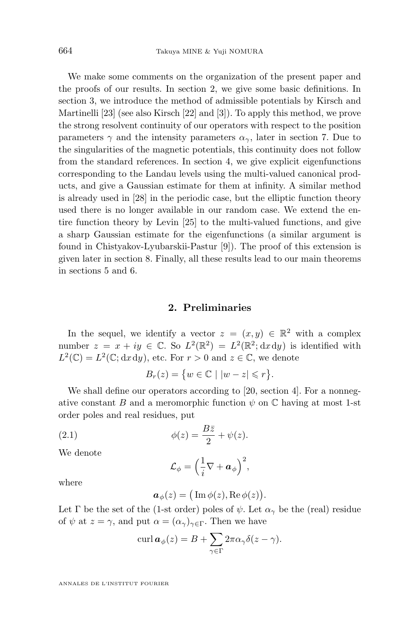We make some comments on the organization of the present paper and the proofs of our results. In section 2, we give some basic definitions. In section [3,](#page-7-0) we introduce the method of admissible potentials by Kirsch and Martinelli [\[23\]](#page-30-0) (see also Kirsch [\[22\]](#page-30-0) and [\[3\]](#page-29-0)). To apply this method, we prove the strong resolvent continuity of our operators with respect to the position parameters  $\gamma$  and the intensity parameters  $\alpha_{\gamma}$ , later in section [7.](#page-19-0) Due to the singularities of the magnetic potentials, this continuity does not follow from the standard references. In section [4,](#page-10-0) we give explicit eigenfunctions corresponding to the Landau levels using the multi-valued canonical products, and give a Gaussian estimate for them at infinity. A similar method is already used in [\[28\]](#page-30-0) in the periodic case, but the elliptic function theory used there is no longer available in our random case. We extend the entire function theory by Levin [\[25\]](#page-30-0) to the multi-valued functions, and give a sharp Gaussian estimate for the eigenfunctions (a similar argument is found in Chistyakov-Lyubarskii-Pastur [\[9\]](#page-29-0)). The proof of this extension is given later in section [8.](#page-25-0) Finally, all these results lead to our main theorems in sections [5](#page-18-0) and [6.](#page-19-0)

#### **2. Preliminaries**

In the sequel, we identify a vector  $z = (x, y) \in \mathbb{R}^2$  with a complex number  $z = x + iy \in \mathbb{C}$ . So  $L^2(\mathbb{R}^2) = L^2(\mathbb{R}^2; dx dy)$  is identified with  $L^2(\mathbb{C}) = L^2(\mathbb{C}; \mathrm{d}x \mathrm{d}y)$ , etc. For  $r > 0$  and  $z \in \mathbb{C}$ , we denote

$$
B_r(z) = \{ w \in \mathbb{C} \mid |w - z| \leqslant r \}.
$$

We shall define our operators according to [\[20,](#page-30-0) section 4]. For a nonnegative constant B and a meromorphic function  $\psi$  on  $\mathbb C$  having at most 1-st order poles and real residues, put

(2.1) 
$$
\phi(z) = \frac{B\bar{z}}{2} + \psi(z).
$$

We denote

$$
\mathcal{L}_{\phi} = \Big(\frac{1}{i}\nabla + \boldsymbol{a}_{\phi}\Big)^2,
$$

where

$$
\boldsymbol{a}_{\phi}(z) = (\operatorname{Im} \phi(z), \operatorname{Re} \phi(z)).
$$

Let  $\Gamma$  be the set of the (1-st order) poles of  $\psi$ . Let  $\alpha_{\gamma}$  be the (real) residue of  $\psi$  at  $z = \gamma$ , and put  $\alpha = (\alpha_{\gamma})_{\gamma \in \Gamma}$ . Then we have

$$
\operatorname{curl} \boldsymbol{a}_{\phi}(z) = B + \sum_{\gamma \in \Gamma} 2\pi \alpha_{\gamma} \delta(z - \gamma).
$$

<span id="page-6-0"></span>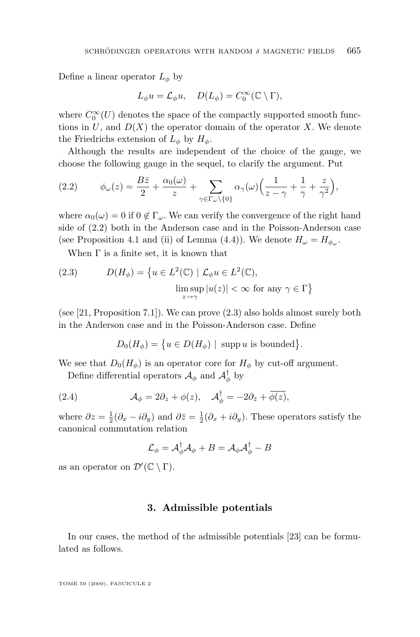<span id="page-7-0"></span>Define a linear operator  $L_{\phi}$  by

$$
L_{\phi}u = \mathcal{L}_{\phi}u, \quad D(L_{\phi}) = C_0^{\infty}(\mathbb{C} \setminus \Gamma),
$$

where  $C_0^{\infty}(U)$  denotes the space of the compactly supported smooth functions in  $U$ , and  $D(X)$  the operator domain of the operator X. We denote the Friedrichs extension of  $L_{\phi}$  by  $H_{\phi}$ .

Although the results are independent of the choice of the gauge, we choose the following gauge in the sequel, to clarify the argument. Put

$$
(2.2) \qquad \phi_{\omega}(z) = \frac{B\bar{z}}{2} + \frac{\alpha_0(\omega)}{z} + \sum_{\gamma \in \Gamma_{\omega} \setminus \{0\}} \alpha_{\gamma}(\omega) \Big( \frac{1}{z - \gamma} + \frac{1}{\gamma} + \frac{z}{\gamma^2} \Big),
$$

where  $\alpha_0(\omega) = 0$  if  $0 \notin \Gamma_\omega$ . We can verify the convergence of the right hand side of (2.2) both in the Anderson case and in the Poisson-Anderson case (see Proposition [4.1](#page-11-0) and (ii) of Lemma [\(4.4\)](#page-14-0)). We denote  $H_{\omega} = H_{\phi_{\omega}}$ .

When  $\Gamma$  is a finite set, it is known that

(2.3) 
$$
D(H_{\phi}) = \{ u \in L^{2}(\mathbb{C}) \mid \mathcal{L}_{\phi} u \in L^{2}(\mathbb{C}),
$$

$$
\limsup_{z \to \gamma} |u(z)| < \infty \text{ for any } \gamma \in \Gamma \}
$$

(see [\[21,](#page-30-0) Proposition 7.1]). We can prove (2.3) also holds almost surely both in the Anderson case and in the Poisson-Anderson case. Define

$$
D_0(H_{\phi}) = \{ u \in D(H_{\phi}) \mid \text{supp } u \text{ is bounded} \}.
$$

We see that  $D_0(H_{\phi})$  is an operator core for  $H_{\phi}$  by cut-off argument.

Define differential operators  $\mathcal{A}_{\phi}$  and  $\mathcal{A}_{\phi}^{\dagger}$  by

(2.4) 
$$
\mathcal{A}_{\phi} = 2\partial_{z} + \phi(z), \quad \mathcal{A}_{\phi}^{\dagger} = -2\partial_{\bar{z}} + \overline{\phi(z)},
$$

where  $\partial z = \frac{1}{2}(\partial_x - i\partial_y)$  and  $\partial \bar{z} = \frac{1}{2}(\partial_x + i\partial_y)$ . These operators satisfy the canonical commutation relation

$$
\mathcal{L}_{\phi} = \mathcal{A}_{\phi}^{\dagger} \mathcal{A}_{\phi} + B = \mathcal{A}_{\phi} \mathcal{A}_{\phi}^{\dagger} - B
$$

as an operator on  $\mathcal{D}'(\mathbb{C} \setminus \Gamma)$ .

#### **3. Admissible potentials**

In our cases, the method of the admissible potentials [\[23\]](#page-30-0) can be formulated as follows.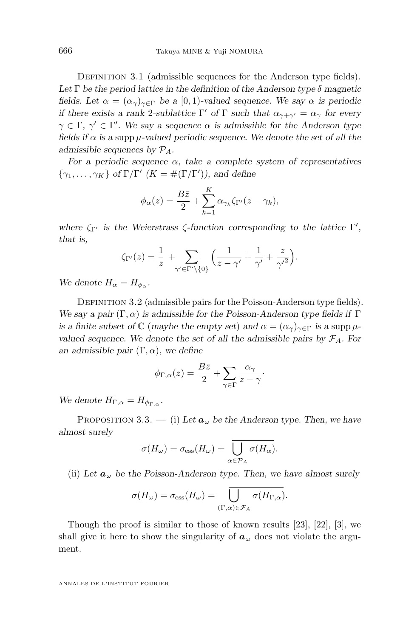<span id="page-8-0"></span>DEFINITION 3.1 (admissible sequences for the Anderson type fields). Let  $\Gamma$  be the period lattice in the definition of the Anderson type  $\delta$  magnetic *fields. Let*  $\alpha = (\alpha_{\gamma})_{\gamma \in \Gamma}$  *be a* [0, 1)-valued sequence. We say  $\alpha$  *is periodic if there exists a rank* 2-sublattice  $\Gamma'$  of  $\Gamma$  *such that*  $\alpha_{\gamma+\gamma'} = \alpha_{\gamma}$  for every  $\gamma \in \Gamma$ ,  $\gamma' \in \Gamma'$ . We say a sequence  $\alpha$  is admissible for the Anderson type *fields if*  $\alpha$  *is a* supp  $\mu$ -valued periodic sequence. We denote the set of all the *admissible sequences by* PA*.*

*For a periodic sequence* α*, take a complete system of representatives*  $\{\gamma_1, \ldots, \gamma_K\}$  of  $\Gamma/\Gamma'$   $(K = \#(\Gamma/\Gamma'))$ , and define

$$
\phi_{\alpha}(z) = \frac{B\bar{z}}{2} + \sum_{k=1}^{K} \alpha_{\gamma_k} \zeta_{\Gamma'}(z - \gamma_k),
$$

*where*  $\zeta_{\Gamma'}$  *is the Weierstrass*  $\zeta$ -function corresponding to the lattice  $\Gamma'$ , *that is,*

$$
\zeta_{\Gamma'}(z) = \frac{1}{z} + \sum_{\gamma' \in \Gamma' \setminus \{0\}} \left( \frac{1}{z - \gamma'} + \frac{1}{\gamma'} + \frac{z}{\gamma'^2} \right).
$$

*We denote*  $H_{\alpha} = H_{\phi_{\alpha}}$ .

DEFINITION 3.2 (admissible pairs for the Poisson-Anderson type fields). *We say a pair*  $(\Gamma, \alpha)$  *is admissible for the Poisson-Anderson type fields if*  $\Gamma$ *is a finite subset of*  $\mathbb{C}$  (*maybe the empty set*) *and*  $\alpha = (\alpha_{\gamma})_{\gamma \in \Gamma}$  *is a supp*  $\mu$ *valued sequence. We denote the set of all the admissible pairs by*  $\mathcal{F}_A$ *. For an admissible pair*  $(\Gamma, \alpha)$ *, we define* 

$$
\phi_{\Gamma,\alpha}(z) = \frac{B\bar{z}}{2} + \sum_{\gamma \in \Gamma} \frac{\alpha_\gamma}{z - \gamma}.
$$

We denote  $H_{\Gamma,\alpha} = H_{\phi_{\Gamma,\alpha}}$ .

PROPOSITION 3.3. — (i) Let  $a_{\omega}$  be the Anderson type. Then, we have *almost surely*

$$
\sigma(H_{\omega}) = \sigma_{\text{ess}}(H_{\omega}) = \overline{\bigcup_{\alpha \in \mathcal{P}_A} \sigma(H_{\alpha})}.
$$

(ii) Let  $a_{\omega}$  be the Poisson-Anderson type. Then, we have almost surely

$$
\sigma(H_{\omega}) = \sigma_{\rm ess}(H_{\omega}) = \overline{\bigcup_{(\Gamma,\alpha)\in\mathcal{F}_A} \sigma(H_{\Gamma,\alpha})}.
$$

Though the proof is similar to those of known results [\[23\]](#page-30-0), [\[22\]](#page-30-0), [\[3\]](#page-29-0), we shall give it here to show the singularity of  $a_{\omega}$  does not violate the argument.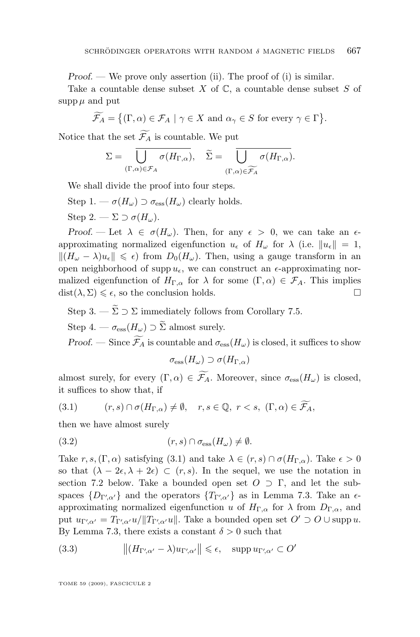<span id="page-9-0"></span>*Proof.* — We prove only assertion (ii). The proof of (i) is similar.

Take a countable dense subset  $X$  of  $\mathbb{C}$ , a countable dense subset  $S$  of supp  $\mu$  and put

$$
\widetilde{\mathcal{F}_A} = \{ (\Gamma, \alpha) \in \mathcal{F}_A \mid \gamma \in X \text{ and } \alpha_{\gamma} \in S \text{ for every } \gamma \in \Gamma \}.
$$

Notice that the set  $\widetilde{\mathcal{F}_A}$  is countable. We put

$$
\Sigma = \overline{\bigcup_{(\Gamma,\alpha)\in\mathcal{F}_A} \sigma(H_{\Gamma,\alpha})}, \quad \widetilde{\Sigma} = \overline{\bigcup_{(\Gamma,\alpha)\in\widetilde{\mathcal{F}_A}} \sigma(H_{\Gamma,\alpha})}.
$$

We shall divide the proof into four steps.

Step 1. —  $\sigma(H_\omega) \supset \sigma_{\text{ess}}(H_\omega)$  clearly holds.

Step 2. —  $\Sigma \supset \sigma(H_{\omega}).$ 

*Proof.* — Let  $\lambda \in \sigma(H_\omega)$ . Then, for any  $\epsilon > 0$ , we can take an  $\epsilon$ approximating normalized eigenfunction  $u_{\epsilon}$  of  $H_{\omega}$  for  $\lambda$  (i.e.  $||u_{\epsilon}|| = 1$ ,  $||(H_{\omega} - \lambda)u_{\epsilon}|| \leq \epsilon)$  from  $D_0(H_{\omega})$ . Then, using a gauge transform in an open neighborhood of supp  $u_{\epsilon}$ , we can construct an  $\epsilon$ -approximating normalized eigenfunction of  $H_{\Gamma,\alpha}$  for  $\lambda$  for some  $(\Gamma,\alpha) \in \mathcal{F}_A$ . This implies  $dist(\lambda, \Sigma) \leq \epsilon$ , so the conclusion holds.

Step 3. —  $\widetilde{\Sigma} \supset \Sigma$  immediately follows from Corollary [7.5.](#page-24-0)

Step 4. —  $\sigma_{\text{ess}}(H_{\omega}) \supset \tilde{\Sigma}$  almost surely.

*Proof.* — Since  $\widetilde{\mathcal{F}}_A$  is countable and  $\sigma_{\text{ess}}(H_\omega)$  is closed, it suffices to show

 $\sigma_{\rm ess}(H_\omega) \supset \sigma(H_{\Gamma,\alpha})$ 

almost surely, for every  $(\Gamma, \alpha) \in \widetilde{\mathcal{F}_A}$ . Moreover, since  $\sigma_{\text{ess}}(H_\omega)$  is closed, it suffices to show that, if

(3.1) 
$$
(r,s) \cap \sigma(H_{\Gamma,\alpha}) \neq \emptyset, \quad r,s \in \mathbb{Q}, \ r < s, \ (\Gamma,\alpha) \in \widetilde{\mathcal{F}_A},
$$

then we have almost surely

$$
(3.2) \t\t (r,s) \cap \sigma_{\rm ess}(H_\omega) \neq \emptyset.
$$

Take  $r, s, (\Gamma, \alpha)$  satisfying (3.1) and take  $\lambda \in (r, s) \cap \sigma(H_{\Gamma,\alpha})$ . Take  $\epsilon > 0$ so that  $(\lambda - 2\epsilon, \lambda + 2\epsilon) \subset (r, s)$ . In the sequel, we use the notation in section [7.2](#page-21-0) below. Take a bounded open set  $O \supset \Gamma$ , and let the subspaces  $\{D_{\Gamma'\!,\alpha'}\}$  and the operators  $\{T_{\Gamma'\!,\alpha'}\}$  as in Lemma [7.3.](#page-22-0) Take an  $\epsilon$ approximating normalized eigenfunction u of  $H_{\Gamma,\alpha}$  for  $\lambda$  from  $D_{\Gamma,\alpha}$ , and put  $u_{\Gamma'\alpha'} = T_{\Gamma'\alpha'}u/\|T_{\Gamma'\alpha'}u\|$ . Take a bounded open set  $O' \supset O \cup \mathrm{supp} u$ . By Lemma [7.3,](#page-22-0) there exists a constant  $\delta > 0$  such that

(3.3) 
$$
||(H_{\Gamma'\!,\alpha'}-\lambda)u_{\Gamma'\!,\alpha'}|| \leq \epsilon, \quad \text{supp }u_{\Gamma'\!,\alpha'}\subset O'
$$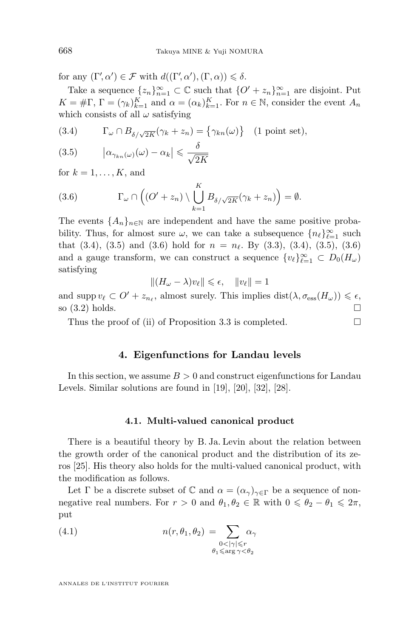<span id="page-10-0"></span>for any  $(\Gamma', \alpha') \in \mathcal{F}$  with  $d((\Gamma', \alpha'), (\Gamma, \alpha)) \leq \delta$ .

Take a sequence  $\{z_n\}_{n=1}^{\infty} \subset \mathbb{C}$  such that  $\{O' + z_n\}_{n=1}^{\infty}$  are disjoint. Put  $K = \#\Gamma$ ,  $\Gamma = (\gamma_k)_{k=1}^K$  and  $\alpha = (\alpha_k)_{k=1}^K$ . For  $n \in \mathbb{N}$ , consider the event  $A_n$ which consists of all  $\omega$  satisfying

(3.4) 
$$
\Gamma_{\omega} \cap B_{\delta/\sqrt{2K}}(\gamma_k + z_n) = \{ \gamma_{kn}(\omega) \} \quad (1 \text{ point set}),
$$

$$
(3.5) \qquad |\alpha_{\gamma_{kn}(\omega)}(\omega) - \alpha_k| \leq \frac{\delta}{\sqrt{2K}}
$$

for  $k = 1, \ldots, K$ , and

(3.6) 
$$
\Gamma_{\omega} \cap \left( (O' + z_n) \setminus \bigcup_{k=1}^K B_{\delta/\sqrt{2K}}(\gamma_k + z_n) \right) = \emptyset.
$$

The events  $\{A_n\}_{n\in\mathbb{N}}$  are independent and have the same positive probability. Thus, for almost sure  $\omega$ , we can take a subsequence  $\{n_\ell\}_{\ell=1}^\infty$  such that  $(3.4)$ ,  $(3.5)$  and  $(3.6)$  hold for  $n = n_{\ell}$ . By  $(3.3)$ ,  $(3.4)$ ,  $(3.5)$ ,  $(3.6)$ and a gauge transform, we can construct a sequence  $\{v_\ell\}_{\ell=1}^\infty \subset D_0(H_\omega)$ satisfying

$$
||(H_{\omega}-\lambda)v_{\ell}||\leqslant\epsilon,\quad ||v_{\ell}||=1
$$

and supp  $v_\ell \subset O' + z_{n_\ell}$ , almost surely. This implies  $dist(\lambda, \sigma_{\text{ess}}(H_\omega)) \leq \epsilon$ , so  $(3.2)$  holds.

Thus the proof of (ii) of Proposition [3.3](#page-8-0) is completed.  $\Box$ 

#### **4. Eigenfunctions for Landau levels**

In this section, we assume  $B > 0$  and construct eigenfunctions for Landau Levels. Similar solutions are found in [\[19\]](#page-30-0), [\[20\]](#page-30-0), [\[32\]](#page-30-0), [\[28\]](#page-30-0).

#### **4.1. Multi-valued canonical product**

There is a beautiful theory by B. Ja. Levin about the relation between the growth order of the canonical product and the distribution of its zeros [\[25\]](#page-30-0). His theory also holds for the multi-valued canonical product, with the modification as follows.

Let Γ be a discrete subset of  $\mathbb C$  and  $\alpha = (\alpha_\gamma)_{\gamma \in \Gamma}$  be a sequence of nonnegative real numbers. For  $r > 0$  and  $\theta_1, \theta_2 \in \mathbb{R}$  with  $0 \le \theta_2 - \theta_1 \le 2\pi$ , put

(4.1) 
$$
n(r, \theta_1, \theta_2) = \sum_{\substack{0 < |\gamma| \le r \\ \theta_1 \le \arg \gamma < \theta_2}} \alpha_\gamma
$$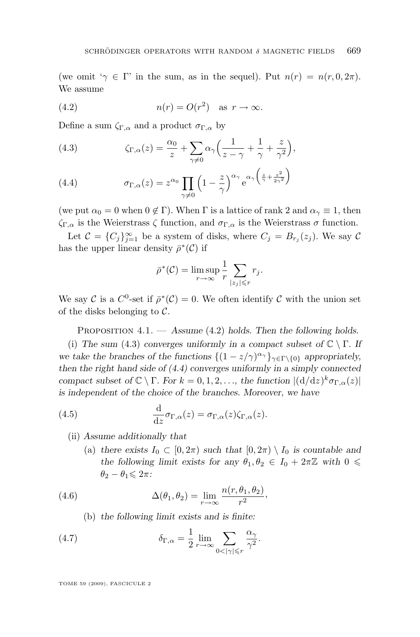<span id="page-11-0"></span>(we omit ' $\gamma \in \Gamma$ ' in the sum, as in the sequel). Put  $n(r) = n(r, 0, 2\pi)$ . We assume

(4.2) 
$$
n(r) = O(r^2) \quad \text{as } r \to \infty.
$$

Define a sum  $\zeta_{\Gamma,\alpha}$  and a product  $\sigma_{\Gamma,\alpha}$  by

(4.3) 
$$
\zeta_{\Gamma,\alpha}(z) = \frac{\alpha_0}{z} + \sum_{\gamma \neq 0} \alpha_{\gamma} \left( \frac{1}{z - \gamma} + \frac{1}{\gamma} + \frac{z}{\gamma^2} \right),
$$

(4.4) 
$$
\sigma_{\Gamma,\alpha}(z) = z^{\alpha_0} \prod_{\gamma \neq 0} \left(1 - \frac{z}{\gamma}\right)^{\alpha_{\gamma}} e^{\alpha_{\gamma}\left(\frac{z}{\gamma} + \frac{z^2}{2\gamma^2}\right)}
$$

(we put  $\alpha_0 = 0$  when  $0 \notin \Gamma$ ). When  $\Gamma$  is a lattice of rank 2 and  $\alpha_{\gamma} \equiv 1$ , then  $\zeta_{\Gamma,\alpha}$  is the Weierstrass  $\zeta$  function, and  $\sigma_{\Gamma,\alpha}$  is the Weierstrass  $\sigma$  function.

Let  $C = \{C_j\}_{j=1}^{\infty}$  be a system of disks, where  $C_j = B_{r_j}(z_j)$ . We say C has the upper linear density  $\bar{\rho}^*(\mathcal{C})$  if

$$
\bar{\rho}^*(\mathcal{C}) = \limsup_{r \to \infty} \frac{1}{r} \sum_{|z_j| \leq r} r_j.
$$

We say C is a  $C^0$ -set if  $\bar{\rho}^*(\mathcal{C})=0$ . We often identify C with the union set of the disks belonging to  $\mathcal{C}$ .

Proposition 4.1. — *Assume* (4.2) *holds. Then the following holds.*

(i) *The sum* (4.3) *converges uniformly in a compact subset of*  $\mathbb{C} \setminus \Gamma$ *. If we take the branches of the functions*  $\{(1 - z/\gamma)^{\alpha} \}_{\gamma \in \Gamma \setminus \{0\}}$  *appropriately, then the right hand side of (4.4) converges uniformly in a simply connected compact subset of*  $\mathbb{C} \setminus \Gamma$ *. For*  $k = 0, 1, 2, \ldots$ *, the function*  $|((d/dz)^k \sigma_{\Gamma,\alpha}(z)|)$ *is independent of the choice of the branches. Moreover, we have*

(4.5) 
$$
\frac{\mathrm{d}}{\mathrm{d}z} \sigma_{\Gamma,\alpha}(z) = \sigma_{\Gamma,\alpha}(z) \zeta_{\Gamma,\alpha}(z).
$$

- (ii) *Assume additionally that*
	- (a) there exists  $I_0 \subset [0, 2\pi)$  such that  $[0, 2\pi) \setminus I_0$  is countable and *the following limit exists for any*  $\theta_1, \theta_2 \in I_0 + 2\pi \mathbb{Z}$  *with*  $0 \leq$  $\theta_2 - \theta_1 \leqslant 2\pi$ :

(4.6) 
$$
\Delta(\theta_1, \theta_2) = \lim_{r \to \infty} \frac{n(r, \theta_1, \theta_2)}{r^2},
$$

(b) *the following limit exists and is finite:*

(4.7) 
$$
\delta_{\Gamma,\alpha} = \frac{1}{2} \lim_{r \to \infty} \sum_{0 < |\gamma| \leq r} \frac{\alpha_{\gamma}}{\gamma^2}.
$$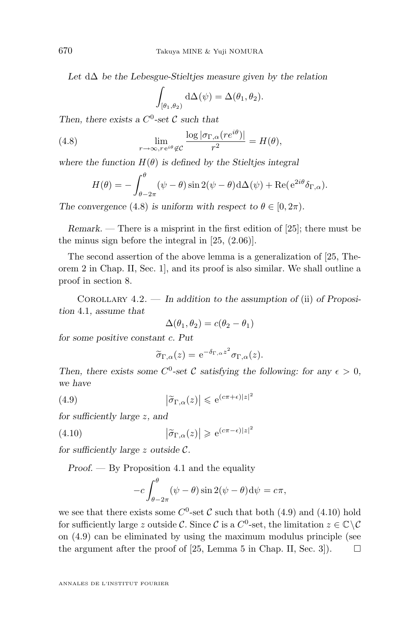*Let* d∆ *be the Lebesgue-Stieltjes measure given by the relation*

$$
\int_{\left[\theta_1,\theta_2\right)} d\Delta(\psi) = \Delta(\theta_1,\theta_2).
$$

Then, there exists a  $C^0$ -set C such that

(4.8) 
$$
\lim_{r \to \infty, r e^{i\theta} \notin \mathcal{C}} \frac{\log |\sigma_{\Gamma,\alpha}(re^{i\theta})|}{r^2} = H(\theta),
$$

*where the function*  $H(\theta)$  *is defined by the Stieltjes integral* 

$$
H(\theta) = -\int_{\theta - 2\pi}^{\theta} (\psi - \theta) \sin 2(\psi - \theta) d\Delta(\psi) + \text{Re}(e^{2i\theta} \delta_{\Gamma,\alpha}).
$$

*The convergence* (4.8) *is uniform with respect to*  $\theta \in [0, 2\pi)$ *.* 

*Remark.* — There is a misprint in the first edition of [\[25\]](#page-30-0); there must be the minus sign before the integral in [\[25,](#page-30-0) (2.06)].

The second assertion of the above lemma is a generalization of [\[25,](#page-30-0) Theorem 2 in Chap. II, Sec. 1], and its proof is also similar. We shall outline a proof in section [8.](#page-25-0)

Corollary 4.2. — *In addition to the assumption of* (ii) *of Proposition* [4.1](#page-11-0)*, assume that*

$$
\Delta(\theta_1, \theta_2) = c(\theta_2 - \theta_1)
$$

*for some positive constant* c*. Put*

$$
\widetilde{\sigma}_{\Gamma,\alpha}(z) = e^{-\delta_{\Gamma,\alpha}z^2} \sigma_{\Gamma,\alpha}(z).
$$

Then, there exists some  $C^0$ -set C satisfying the following: for any  $\epsilon > 0$ , *we have*

(4.9) 
$$
\left|\widetilde{\sigma}_{\Gamma,\alpha}(z)\right| \leqslant e^{(c\pi+\epsilon)|z|^2}
$$

*for sufficiently large* z*, and*

(4.10) 
$$
\left| \tilde{\sigma}_{\Gamma,\alpha}(z) \right| \geq e^{(c\pi - \epsilon)|z|^2}
$$

*for sufficiently large* z *outside* C*.*

*Proof. —* By Proposition [4.1](#page-11-0) and the equality

$$
-c\int_{\theta-2\pi}^{\theta} (\psi-\theta)\sin 2(\psi-\theta) d\psi = c\pi,
$$

we see that there exists some  $C^0$ -set C such that both (4.9) and (4.10) hold for sufficiently large z outside C. Since C is a  $C^0$ -set, the limitation  $z \in \mathbb{C} \setminus C$ on (4.9) can be eliminated by using the maximum modulus principle (see the argument after the proof of [\[25,](#page-30-0) Lemma 5 in Chap. II, Sec. 3]).  $\Box$ 

<span id="page-12-0"></span>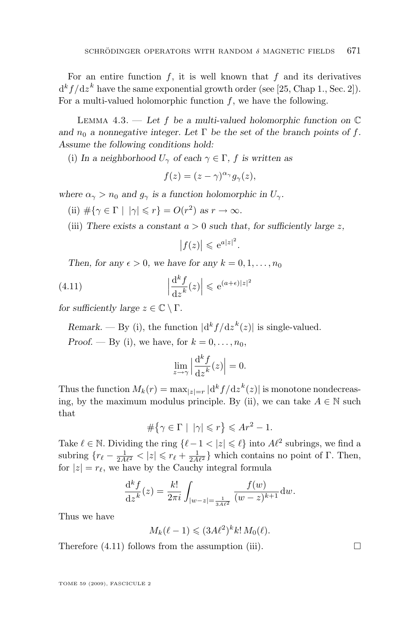<span id="page-13-0"></span>For an entire function  $f$ , it is well known that  $f$  and its derivatives  $d^k f/dz^k$  have the same exponential growth order (see [\[25,](#page-30-0) Chap 1., Sec. 2]). For a multi-valued holomorphic function  $f$ , we have the following.

Lemma 4.3. — *Let* f *be a multi-valued holomorphic function on* C and  $n_0$  *a* nonnegative integer. Let  $\Gamma$  be the set of the branch points of f. *Assume the following conditions hold:*

(i) In a neighborhood  $U_{\gamma}$  of each  $\gamma \in \Gamma$ , f is written as

$$
f(z) = (z - \gamma)^{\alpha_{\gamma}} g_{\gamma}(z),
$$

*where*  $\alpha_{\gamma} > n_0$  *and*  $g_{\gamma}$  *is a function holomorphic in*  $U_{\gamma}$ *.* 

(ii)  $\#\{\gamma \in \Gamma \mid |\gamma| \leq r\} = O(r^2) \text{ as } r \to \infty.$ 

(iii) There exists a constant  $a > 0$  such that, for sufficiently large z,

$$
\left|f(z)\right| \leqslant e^{a|z|^2}.
$$

*Then, for any*  $\epsilon > 0$ *, we have for any*  $k = 0, 1, \ldots, n_0$ 

(4.11) 
$$
\left|\frac{\mathrm{d}^k f}{\mathrm{d}z^k}(z)\right| \leqslant \mathrm{e}^{(a+\epsilon)|z|^2}
$$

*for sufficiently large*  $z \in \mathbb{C} \setminus \Gamma$ *.* 

*Remark.* — By (i), the function  $|d^k f/dz^k(z)|$  is single-valued.

*Proof.* — By (i), we have, for  $k = 0, \ldots, n_0$ ,

$$
\lim_{z \to \gamma} \left| \frac{\mathrm{d}^k f}{\mathrm{d} z^k}(z) \right| = 0.
$$

Thus the function  $M_k(r) = \max_{|z|=r} |d^k f/dz^k(z)|$  is monotone nondecreasing, by the maximum modulus principle. By (ii), we can take  $A \in \mathbb{N}$  such that

$$
\#\big\{\gamma\in\Gamma\,\,|\,\,\,|\gamma|\leqslant r\big\}\leqslant Ar^2-1.
$$

Take  $\ell \in \mathbb{N}$ . Dividing the ring  $\{\ell - 1 < |z| \leq \ell\}$  into  $A\ell^2$  subrings, we find a subring  ${r_{\ell}} - \frac{1}{2A\ell^2} < |z| \leq r_{\ell} + \frac{1}{2A\ell^2}$  which contains no point of Γ. Then, for  $|z| = r_{\ell}$ , we have by the Cauchy integral formula

$$
\frac{d^k f}{dz^k}(z) = \frac{k!}{2\pi i} \int_{|w-z| = \frac{1}{3A\ell^2}} \frac{f(w)}{(w-z)^{k+1}} dw.
$$

Thus we have

$$
M_k(\ell-1) \leqslant (3A\ell^2)^k k! \, M_0(\ell).
$$

Therefore  $(4.11)$  follows from the assumption (iii).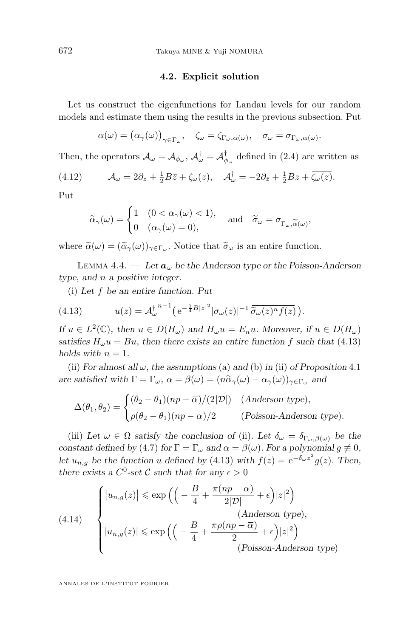#### **4.2. Explicit solution**

<span id="page-14-0"></span>Let us construct the eigenfunctions for Landau levels for our random models and estimate them using the results in the previous subsection. Put

$$
\alpha(\omega) = (\alpha_{\gamma}(\omega))_{\gamma \in \Gamma_{\omega}}, \quad \zeta_{\omega} = \zeta_{\Gamma_{\omega}, \alpha(\omega)}, \quad \sigma_{\omega} = \sigma_{\Gamma_{\omega}, \alpha(\omega)}.
$$

Then, the operators  $\mathcal{A}_{\omega} = \mathcal{A}_{\phi_{\omega}}$ ,  $\mathcal{A}_{\omega}^{\dagger} = \mathcal{A}_{\phi_{\omega}}^{\dagger}$  defined in [\(2.4\)](#page-7-0) are written as

(4.12) 
$$
\mathcal{A}_{\omega} = 2\partial_z + \frac{1}{2}B\bar{z} + \zeta_{\omega}(z), \quad \mathcal{A}_{\omega}^{\dagger} = -2\partial_{\bar{z}} + \frac{1}{2}Bz + \overline{\zeta_{\omega}(z)}.
$$

Put

$$
\widetilde{\alpha}_{\gamma}(\omega) = \begin{cases} 1 & (0 < \alpha_{\gamma}(\omega) < 1), \\ 0 & (\alpha_{\gamma}(\omega) = 0), \end{cases} \quad \text{and} \quad \widetilde{\sigma}_{\omega} = \sigma_{\Gamma_{\omega}, \widetilde{\alpha}(\omega)},
$$

where  $\tilde{\alpha}(\omega) = (\tilde{\alpha}_{\gamma}(\omega))_{\gamma \in \Gamma_{\omega}}$ . Notice that  $\tilde{\sigma}_{\omega}$  is an entire function.

LEMMA 4.4.  $\qquad \qquad Let \, a_{\omega} \, be \, the \, Anderson \, type \, or \, the \, Poisson-Anderson$ *type, and* n *a positive integer.*

(i) *Let* f *be an entire function. Put*

(4.13) 
$$
u(z) = \mathcal{A}_{\omega}^{\dagger} e^{-\frac{1}{4}B|z|^2} |\sigma_{\omega}(z)|^{-1} \overline{\tilde{\sigma}_{\omega}(z)^n f(z)}.
$$

*If*  $u \in L^2(\mathbb{C})$ *, then*  $u \in D(H_\omega)$  *and*  $H_\omega u = E_n u$ *. Moreover, if*  $u \in D(H_\omega)$ *satisfies*  $H_{\omega}u = Bu$ , then there exists an entire function f such that (4.13) *holds with*  $n = 1$ *.* 

(ii) *For almost all*  $\omega$ *, the assumptions* (a) *and* (b) *in* (ii) *of Proposition* [4.1](#page-11-0) *are satisfied with*  $\Gamma = \Gamma_{\omega}$ ,  $\alpha = \beta(\omega) = (n\tilde{\alpha}_{\gamma}(\omega) - \alpha_{\gamma}(\omega))_{\gamma \in \Gamma_{\omega}}$  *and* 

$$
\Delta(\theta_1, \theta_2) = \begin{cases}\n(\theta_2 - \theta_1)(np - \overline{\alpha})/(2|\mathcal{D}|) & \text{(Anderson type)}, \\
\rho(\theta_2 - \theta_1)(np - \overline{\alpha})/2 & \text{(Poisson-Anderson type)}.\n\end{cases}
$$

(iii) Let  $\omega \in \Omega$  *satisfy the conclusion of* (ii). Let  $\delta_{\omega} = \delta_{\Gamma_{\omega}, \beta(\omega)}$  be the *constant defined by* [\(4](#page-11-0).7) *for*  $\Gamma = \Gamma_{\omega}$  *and*  $\alpha = \beta(\omega)$ *. For a polynomial*  $g \neq 0$ *, let*  $u_{n,g}$  *be the function* u defined by (4.13) with  $f(z) = e^{-\delta_{\omega} z^2} g(z)$ . Then, *there exists a*  $C^0$ -set C such that for any  $\epsilon > 0$ 

(4.14) 
$$
\begin{cases} |u_{n,g}(z)| \le \exp\left(\left(-\frac{B}{4} + \frac{\pi(np - \overline{\alpha})}{2|\mathcal{D}|} + \epsilon\right)|z|^2\right) & \text{(Anderson type)},\\ |u_{n,g}(z)| \le \exp\left(\left(-\frac{B}{4} + \frac{\pi\rho(np - \overline{\alpha})}{2} + \epsilon\right)|z|^2\right) & \text{(Poisson-Anderson type)} \end{cases}
$$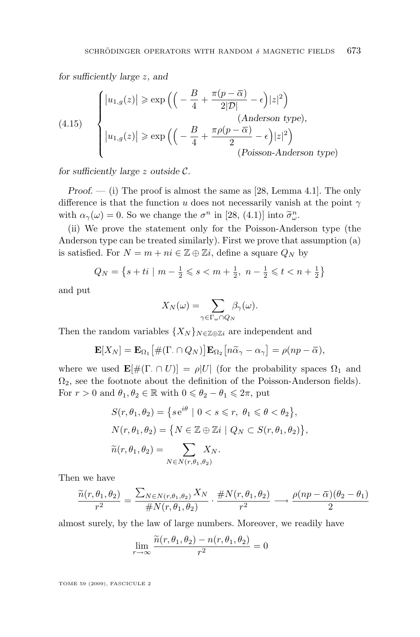<span id="page-15-0"></span>*for sufficiently large* z*, and*

(4.15) 
$$
\begin{cases} |u_{1,g}(z)| \ge \exp\left(\left(-\frac{B}{4} + \frac{\pi(p-\overline{\alpha})}{2|\mathcal{D}|} - \epsilon\right)|z|^2\right) \\ (Anderson type), \\ |u_{1,g}(z)| \ge \exp\left(\left(-\frac{B}{4} + \frac{\pi\rho(p-\overline{\alpha})}{2} - \epsilon\right)|z|^2\right) \\ (Poisson-Anderson type) \end{cases}
$$

*for sufficiently large* z *outside* C*.*

*Proof.* — (i) The proof is almost the same as [\[28,](#page-30-0) Lemma 4.1]. The only difference is that the function u does not necessarily vanish at the point  $\gamma$ with  $\alpha_{\gamma}(\omega) = 0$ . So we change the  $\sigma^{n}$  in [\[28,](#page-30-0) (4.1)] into  $\tilde{\sigma}_{\omega}^{n}$ .

(ii) We prove the statement only for the Poisson-Anderson type (the Anderson type can be treated similarly). First we prove that assumption (a) is satisfied. For  $N = m + ni \in \mathbb{Z} \oplus \mathbb{Z}i$ , define a square  $Q_N$  by

$$
Q_N = \left\{ s + ti \mid m - \frac{1}{2} \leqslant s < m + \frac{1}{2}, \ n - \frac{1}{2} \leqslant t < n + \frac{1}{2} \right\}
$$

and put

$$
X_N(\omega) = \sum_{\gamma \in \Gamma_\omega \cap Q_N} \beta_\gamma(\omega).
$$

Then the random variables  $\{X_N\}_{N\in\mathbb{Z}\oplus\mathbb{Z}i}$  are independent and

$$
\mathbf{E}[X_N] = \mathbf{E}_{\Omega_1} [ \# (\Gamma \cap Q_N) ] \mathbf{E}_{\Omega_2} [ n \widetilde{\alpha}_{\gamma} - \alpha_{\gamma} ] = \rho (np - \overline{\alpha}),
$$

where we used  $\mathbf{E}[\#(\Gamma \cap U)] = \rho|U|$  (for the probability spaces  $\Omega_1$  and  $\Omega_2$ , see the footnote about the definition of the Poisson-Anderson fields). For  $r > 0$  and  $\theta_1, \theta_2 \in \mathbb{R}$  with  $0 \le \theta_2 - \theta_1 \le 2\pi$ , put

$$
S(r, \theta_1, \theta_2) = \{ s e^{i\theta} \mid 0 < s \leq r, \ \theta_1 \leq \theta < \theta_2 \},
$$
\n
$$
N(r, \theta_1, \theta_2) = \{ N \in \mathbb{Z} \oplus \mathbb{Z}i \mid Q_N \subset S(r, \theta_1, \theta_2) \},
$$
\n
$$
\widetilde{n}(r, \theta_1, \theta_2) = \sum_{N \in N(r, \theta_1, \theta_2)} X_N.
$$

Then we have

$$
\frac{\widetilde{n}(r,\theta_1,\theta_2)}{r^2} = \frac{\sum_{N \in N(r,\theta_1,\theta_2)} X_N}{\#N(r,\theta_1,\theta_2)} \cdot \frac{\#N(r,\theta_1,\theta_2)}{r^2} \longrightarrow \frac{\rho(np-\overline{\alpha})(\theta_2-\theta_1)}{2}
$$

almost surely, by the law of large numbers. Moreover, we readily have

$$
\lim_{r \to \infty} \frac{\widetilde{n}(r, \theta_1, \theta_2) - n(r, \theta_1, \theta_2)}{r^2} = 0
$$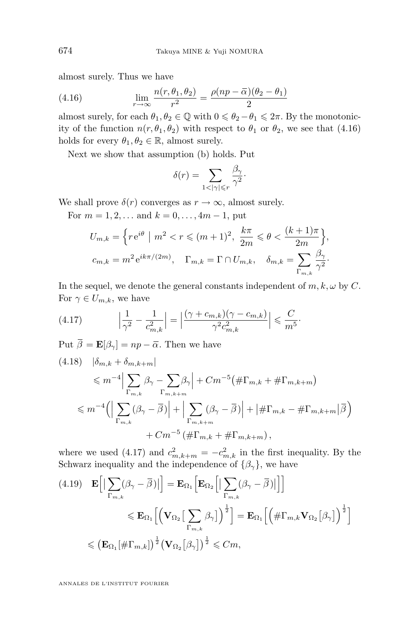<span id="page-16-0"></span>almost surely. Thus we have

(4.16) 
$$
\lim_{r \to \infty} \frac{n(r, \theta_1, \theta_2)}{r^2} = \frac{\rho(np - \overline{\alpha})(\theta_2 - \theta_1)}{2}
$$

almost surely, for each  $\theta_1, \theta_2 \in \mathbb{Q}$  with  $0 \le \theta_2 - \theta_1 \le 2\pi$ . By the monotonicity of the function  $n(r, \theta_1, \theta_2)$  with respect to  $\theta_1$  or  $\theta_2$ , we see that (4.16) holds for every  $\theta_1, \theta_2 \in \mathbb{R}$ , almost surely.

Next we show that assumption (b) holds. Put

$$
\delta(r) = \sum_{1 < |\gamma| \leqslant r} \frac{\beta_\gamma}{\gamma^2}.
$$

We shall prove  $\delta(r)$  converges as  $r \to \infty$ , almost surely.

For  $m = 1, 2, \ldots$  and  $k = 0, \ldots, 4m - 1$ , put

$$
U_{m,k} = \left\{ r e^{i\theta} \mid m^2 < r \le (m+1)^2, \frac{k\pi}{2m} \le \theta < \frac{(k+1)\pi}{2m} \right\},\
$$
\n
$$
c_{m,k} = m^2 e^{ik\pi/(2m)}, \quad \Gamma_{m,k} = \Gamma \cap U_{m,k}, \quad \delta_{m,k} = \sum_{\Gamma_{m,k}} \frac{\beta_\gamma}{\gamma^2}.
$$

In the sequel, we denote the general constants independent of  $m, k, \omega$  by C. For  $\gamma \in U_{m,k}$ , we have

(4.17) 
$$
\left| \frac{1}{\gamma^2} - \frac{1}{c_{m,k}^2} \right| = \left| \frac{(\gamma + c_{m,k})(\gamma - c_{m,k})}{\gamma^2 c_{m,k}^2} \right| \leqslant \frac{C}{m^5}.
$$

Put  $\overline{\beta} = \mathbf{E}[\beta_{\gamma}] = np - \overline{\alpha}$ . Then we have

$$
(4.18) \quad |\delta_{m,k} + \delta_{m,k+m}|
$$
  
\n
$$
\leq m^{-4} \Big| \sum_{\Gamma_{m,k}} \beta_{\gamma} - \sum_{\Gamma_{m,k+m}} \beta_{\gamma} \Big| + Cm^{-5} \big( \#\Gamma_{m,k} + \#\Gamma_{m,k+m} \big)
$$
  
\n
$$
\leq m^{-4} \Big( \Big| \sum_{\Gamma_{m,k}} (\beta_{\gamma} - \overline{\beta}) \Big| + \Big| \sum_{\Gamma_{m,k+m}} (\beta_{\gamma} - \overline{\beta}) \Big| + \Big| \#\Gamma_{m,k} - \#\Gamma_{m,k+m} \Big| \overline{\beta} \Big)
$$
  
\n
$$
+ Cm^{-5} \big( \#\Gamma_{m,k} + \#\Gamma_{m,k+m} \big) ,
$$

where we used (4.17) and  $c_{m,k+m}^2 = -c_{m,k}^2$  in the first inequality. By the Schwarz inequality and the independence of  $\{\beta_{\gamma}\}\)$ , we have

$$
(4.19) \quad \mathbf{E}\Big[\Big|\sum_{\Gamma_{m,k}}(\beta_{\gamma}-\overline{\beta})\Big|\Big] = \mathbf{E}_{\Omega_{1}}\Big[\mathbf{E}_{\Omega_{2}}\Big[\Big|\sum_{\Gamma_{m,k}}(\beta_{\gamma}-\overline{\beta})\Big|\Big]\Big] \n\leqslant \mathbf{E}_{\Omega_{1}}\Big[\Big(\mathbf{V}_{\Omega_{2}}\Big[\sum_{\Gamma_{m,k}}\beta_{\gamma}\Big]\Big)^{\frac{1}{2}}\Big] = \mathbf{E}_{\Omega_{1}}\Big[\Big(\#\Gamma_{m,k}\mathbf{V}_{\Omega_{2}}\big[\beta_{\gamma}\big]\Big)^{\frac{1}{2}}\Big] \n\leqslant \left(\mathbf{E}_{\Omega_{1}}\big[\#\Gamma_{m,k}\big]\right)^{\frac{1}{2}}\Big(\mathbf{V}_{\Omega_{2}}\big[\beta_{\gamma}\big]\Big)^{\frac{1}{2}} \leqslant Cm,
$$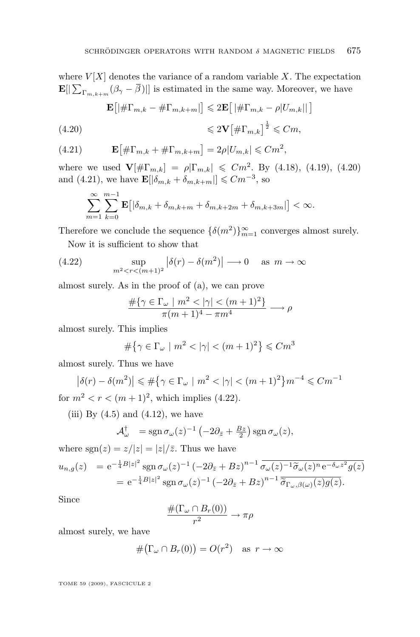where  $V[X]$  denotes the variance of a random variable X. The expectation  $\mathbf{E}[\|\sum_{\Gamma_{m,k+m}}(\beta_{\gamma}-\beta)\|]$  is estimated in the same way. Moreover, we have

$$
\mathbf{E}\left[\left|\#\Gamma_{m,k}-\#\Gamma_{m,k+m}\right|\right] \leqslant 2\mathbf{E}\left[\left|\#\Gamma_{m,k}-\rho|U_{m,k}|\right|\right]
$$
\n
$$
\leqslant 2\mathbf{V}\left[\#\Gamma_{m,k}\right]^{\frac{1}{2}} \leqslant Cm,
$$

(4.21) 
$$
\mathbf{E} [\# \Gamma_{m,k} + \# \Gamma_{m,k+m}] = 2\rho |U_{m,k}| \leq Cm^2,
$$

where we used  $\mathbf{V}[\#\Gamma_{m,k}] = \rho |\Gamma_{m,k}| \leq Cm^2$ . By [\(4.18\)](#page-16-0), [\(4.19\)](#page-16-0), (4.20) and (4.21), we have  $\mathbf{E}[\vert \delta_{m,k} + \delta_{m,k+m} \vert] \leq C m^{-3}$ , so

$$
\sum_{m=1}^{\infty}\sum_{k=0}^{m-1}\mathbf{E}\big[|\delta_{m,k}+\delta_{m,k+m}+\delta_{m,k+2m}+\delta_{m,k+3m}|\big]<\infty.
$$

Therefore we conclude the sequence  $\{\delta(m^2)\}_{m=1}^{\infty}$  converges almost surely.

Now it is sufficient to show that

(4.22) 
$$
\sup_{m^2 < r < (m+1)^2} \left| \delta(r) - \delta(m^2) \right| \longrightarrow 0 \quad \text{as } m \to \infty
$$

almost surely. As in the proof of (a), we can prove

$$
\frac{\#\{\gamma \in \Gamma_\omega \mid m^2 < |\gamma| < (m+1)^2\}}{\pi (m+1)^4 - \pi m^4} \longrightarrow \rho
$$

almost surely. This implies

$$
\#\{\gamma \in \Gamma_\omega \mid m^2 < |\gamma| < (m+1)^2\} \leq Cm^3
$$

almost surely. Thus we have

$$
\left|\delta(r) - \delta(m^2)\right| \leq \#\left\{\gamma \in \Gamma_\omega \mid m^2 < |\gamma| < (m+1)^2\right\} m^{-4} \leq C m^{-1}
$$

for  $m^2 < r < (m+1)^2$ , which implies (4.22).

(iii) By  $(4.5)$  and  $(4.12)$ , we have

$$
\mathcal{A}_{\omega}^{\dagger} = \text{sgn}\,\sigma_{\omega}(z)^{-1}\left(-2\partial_{\bar{z}} + \frac{Bz}{2}\right)\text{sgn}\,\sigma_{\omega}(z),
$$

where  $sgn(z) = z/|z| = |z|/\overline{z}$ . Thus we have

$$
u_{n,g}(z) = e^{-\frac{1}{4}B|z|^2} \operatorname{sgn} \sigma_\omega(z)^{-1} \left(-2\partial_{\bar{z}} + Bz\right)^{n-1} \overline{\sigma_\omega(z)^{-1}\widetilde{\sigma}_\omega(z)^n e^{-\delta_\omega z^2} g(z)}
$$
  
= 
$$
e^{-\frac{1}{4}B|z|^2} \operatorname{sgn} \sigma_\omega(z)^{-1} \left(-2\partial_{\bar{z}} + Bz\right)^{n-1} \overline{\widetilde{\sigma}_{\Gamma_\omega,\beta(\omega)}(z)g(z)}.
$$

Since

$$
\frac{\#(\Gamma_{\omega}\cap B_r(0))}{r^2}\to \pi\rho
$$

almost surely, we have

$$
\#(\Gamma_{\omega} \cap B_r(0)) = O(r^2) \quad \text{as } r \to \infty
$$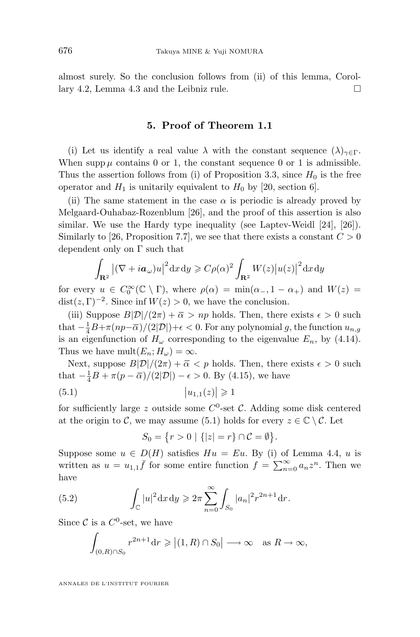<span id="page-18-0"></span>almost surely. So the conclusion follows from (ii) of this lemma, Corollary [4.2,](#page-12-0) Lemma [4.3](#page-13-0) and the Leibniz rule.

#### **5. Proof of Theorem [1.1](#page-3-0)**

(i) Let us identify a real value  $\lambda$  with the constant sequence  $(\lambda)_{\gamma \in \Gamma}$ . When supp  $\mu$  contains 0 or 1, the constant sequence 0 or 1 is admissible. Thus the assertion follows from (i) of Proposition [3.3,](#page-8-0) since  $H_0$  is the free operator and  $H_1$  is unitarily equivalent to  $H_0$  by [\[20,](#page-30-0) section 6].

(ii) The same statement in the case  $\alpha$  is periodic is already proved by Melgaard-Ouhabaz-Rozenblum [\[26\]](#page-30-0), and the proof of this assertion is also similar. We use the Hardy type inequality (see Laptev-Weidl [\[24\]](#page-30-0), [\[26\]](#page-30-0)). Similarly to [\[26,](#page-30-0) Proposition 7.7], we see that there exists a constant  $C > 0$ dependent only on Γ such that

$$
\int_{\mathbf{R}^2} |(\nabla + i\boldsymbol{a}_{\omega})u|^2 dx dy \ge C\rho(\alpha)^2 \int_{\mathbf{R}^2} W(z) |u(z)|^2 dx dy
$$

for every  $u \in C_0^{\infty}(\mathbb{C} \setminus \Gamma)$ , where  $\rho(\alpha) = \min(\alpha_-, 1 - \alpha_+)$  and  $W(z) =$  $dist(z, \Gamma)^{-2}$ . Since inf  $W(z) > 0$ , we have the conclusion.

(iii) Suppose  $B|\mathcal{D}|/(2\pi) + \bar{\alpha} > np$  holds. Then, there exists  $\epsilon > 0$  such that  $-\frac{1}{4}B+\pi(np-\overline{\alpha})/(2|\mathcal{D}|)+\epsilon < 0.$  For any polynomial g, the function  $u_{n,g}$ is an eigenfunction of  $H_{\omega}$  corresponding to the eigenvalue  $E_n$ , by [\(4.14\)](#page-14-0). Thus we have mult $(E_n; H_\omega) = \infty$ .

Next, suppose  $B|\mathcal{D}|/(2\pi) + \overline{\alpha} < p$  holds. Then, there exists  $\epsilon > 0$  such that  $-\frac{1}{4}B + \pi(p - \overline{\alpha})/(2|\mathcal{D}|) - \epsilon > 0$ . By [\(4.15\)](#page-15-0), we have

$$
(5.1) \t\t |u_{1,1}(z)| \geq 1
$$

for sufficiently large z outside some  $C^0$ -set C. Adding some disk centered at the origin to C, we may assume (5.1) holds for every  $z \in \mathbb{C} \setminus \mathcal{C}$ . Let

$$
S_0 = \{ r > 0 \mid \{ |z| = r \} \cap C = \emptyset \}.
$$

Suppose some  $u \in D(H)$  satisfies  $Hu = Eu$ . By (i) of Lemma [4.4,](#page-14-0) u is written as  $u = u_{1,1}\bar{f}$  for some entire function  $f = \sum_{n=0}^{\infty} a_n z^n$ . Then we have

(5.2) 
$$
\int_{\mathbb{C}} |u|^2 dx dy \geq 2\pi \sum_{n=0}^{\infty} \int_{S_0} |a_n|^2 r^{2n+1} dr.
$$

Since C is a  $C^0$ -set, we have

$$
\int_{(0,R)\cap S_0} r^{2n+1} dr \geqslant |(1,R)\cap S_0| \longrightarrow \infty \text{ as } R \to \infty,
$$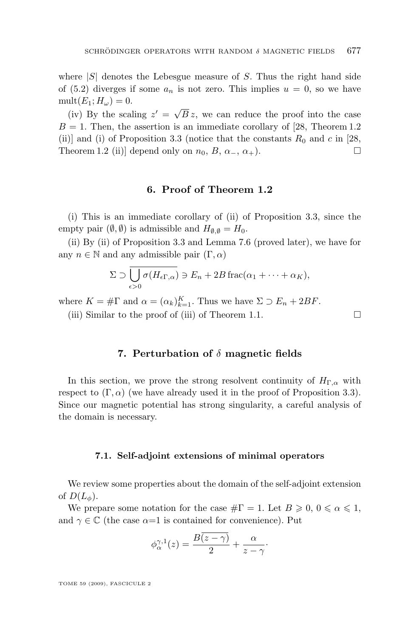<span id="page-19-0"></span>where  $|S|$  denotes the Lebesgue measure of S. Thus the right hand side of [\(5.2\)](#page-18-0) diverges if some  $a_n$  is not zero. This implies  $u = 0$ , so we have  $mult(E_1; H_\omega) = 0.$ 

(iv) By the scaling  $z' = \sqrt{ }$ B z, we can reduce the proof into the case  $B = 1$ . Then, the assertion is an immediate corollary of [\[28,](#page-30-0) Theorem 1.2] (ii)] and (i) of Proposition [3.3](#page-8-0) (notice that the constants  $R_0$  and c in [\[28,](#page-30-0) Theorem 1.2 (ii)] depend only on  $n_0$ ,  $B$ ,  $\alpha_-, \alpha_+$ ).

#### **6. Proof of Theorem [1.2](#page-5-0)**

(i) This is an immediate corollary of (ii) of Proposition [3.3,](#page-8-0) since the empty pair  $(\emptyset, \emptyset)$  is admissible and  $H_{\emptyset, \emptyset} = H_0$ .

(ii) By (ii) of Proposition [3.3](#page-8-0) and Lemma [7.6](#page-24-0) (proved later), we have for any  $n \in \mathbb{N}$  and any admissible pair  $(\Gamma, \alpha)$ 

$$
\Sigma \supset \overline{\bigcup_{\epsilon>0} \sigma(H_{\epsilon\Gamma,\alpha})} \ni E_n + 2B \operatorname{frac}(\alpha_1 + \cdots + \alpha_K),
$$

where  $K = \# \Gamma$  and  $\alpha = (\alpha_k)_{k=1}^K$ . Thus we have  $\Sigma \supset E_n + 2BF$ .

(iii) Similar to the proof of (iii) of Theorem [1.1.](#page-3-0)

#### **7. Perturbation of** δ **magnetic fields**

In this section, we prove the strong resolvent continuity of  $H_{\Gamma,\alpha}$  with respect to  $(\Gamma, \alpha)$  (we have already used it in the proof of Proposition [3.3\)](#page-8-0). Since our magnetic potential has strong singularity, a careful analysis of the domain is necessary.

#### **7.1. Self-adjoint extensions of minimal operators**

We review some properties about the domain of the self-adjoint extension of  $D(L_{\phi})$ .

We prepare some notation for the case  $\#\Gamma = 1$ . Let  $B \geqslant 0, 0 \leqslant \alpha \leqslant 1$ , and  $\gamma \in \mathbb{C}$  (the case  $\alpha=1$  is contained for convenience). Put

$$
\phi_{\alpha}^{\gamma,1}(z) = \frac{B(z-\gamma)}{2} + \frac{\alpha}{z-\gamma}.
$$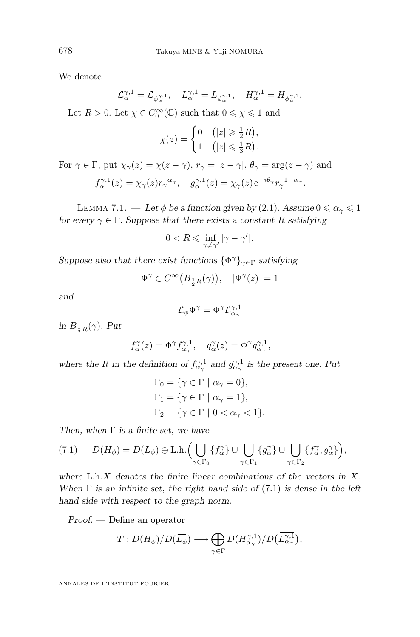We denote

$$
\mathcal{L}_{\alpha}^{\gamma,1}=\mathcal{L}_{\phi_{\alpha}^{\gamma,1}},\quad L_{\alpha}^{\gamma,1}=L_{\phi_{\alpha}^{\gamma,1}},\quad H_{\alpha}^{\gamma,1}=H_{\phi_{\alpha}^{\gamma,1}}.
$$

Let  $R > 0$ . Let  $\chi \in C_0^{\infty}(\mathbb{C})$  such that  $0 \le \chi \le 1$  and

$$
\chi(z) = \begin{cases} 0 & (|z| \geq \frac{1}{2}R), \\ 1 & (|z| \leq \frac{1}{3}R). \end{cases}
$$

For  $\gamma \in \Gamma$ , put  $\chi_{\gamma}(z) = \chi(z - \gamma)$ ,  $r_{\gamma} = |z - \gamma|$ ,  $\theta_{\gamma} = \arg(z - \gamma)$  and  $f_{\alpha}^{\gamma,1}(z) = \chi_{\gamma}(z) r_{\gamma}^{\alpha_{\gamma}}, \quad g_{\alpha}^{\gamma,1}(z) = \chi_{\gamma}(z) e^{-i\theta_{\gamma}} r_{\gamma}^{\;1-\alpha_{\gamma}}.$ 

LEMMA 7.1. — Let  $\phi$  be a function given by [\(2](#page-6-0).1). Assume  $0 \le \alpha_{\gamma} \le 1$ *for every*  $\gamma \in \Gamma$ *. Suppose that there exists a constant* R *satisfying* 

$$
0 < R \leqslant \inf_{\gamma \neq \gamma'} |\gamma - \gamma'|.
$$

*Suppose also that there exist functions*  $\{\Phi^{\gamma}\}_{\gamma \in \Gamma}$  *satisfying* 

$$
\Phi^{\gamma} \in C^{\infty}(B_{\frac{1}{2}R}(\gamma)), \quad |\Phi^{\gamma}(z)| = 1
$$

*and*

$$
\mathcal{L}_{\phi}\Phi^{\gamma}=\Phi^{\gamma}\mathcal{L}^{\gamma,1}_{\alpha_{\gamma}}
$$

*in*  $B_{\frac{1}{2}R}(\gamma)$ *. Put* 

$$
f_{\alpha}^{\gamma}(z) = \Phi^{\gamma} f_{\alpha_{\gamma}}^{\gamma,1}, \quad g_{\alpha}^{\gamma}(z) = \Phi^{\gamma} g_{\alpha_{\gamma}}^{\gamma,1},
$$

where the *R* in the definition of  $f_{\alpha}^{\gamma,1}$  and  $g_{\alpha}^{\gamma,1}$  is the present one. Put

$$
\begin{aligned} \Gamma_0 &= \{\gamma \in \Gamma \mid \alpha_\gamma = 0\}, \\ \Gamma_1 &= \{\gamma \in \Gamma \mid \alpha_\gamma = 1\}, \\ \Gamma_2 &= \{\gamma \in \Gamma \mid 0 < \alpha_\gamma < 1\}. \end{aligned}
$$

*Then, when* Γ *is a finite set, we have*

$$
(7.1) \tD(H_{\phi}) = D(\overline{L_{\phi}}) \oplus \text{L.h.}\Big(\bigcup_{\gamma \in \Gamma_0} \{f_{\alpha}^{\gamma}\} \cup \bigcup_{\gamma \in \Gamma_1} \{g_{\alpha}^{\gamma}\} \cup \bigcup_{\gamma \in \Gamma_2} \{f_{\alpha}^{\gamma}, g_{\alpha}^{\gamma}\}\Big),\,
$$

*where* L.h.X *denotes the finite linear combinations of the vectors in* X*. When* Γ *is an infinite set, the right hand side of* (7.1) *is dense in the left hand side with respect to the graph norm.*

*Proof. —* Define an operator

$$
T: D(H_{\phi})/D(\overline{L_{\phi}}) \longrightarrow \bigoplus_{\gamma \in \Gamma} D(H_{\alpha_{\gamma}}^{\gamma,1})/D(\overline{L_{\alpha_{\gamma}}^{\gamma,1}}),
$$

<span id="page-20-0"></span>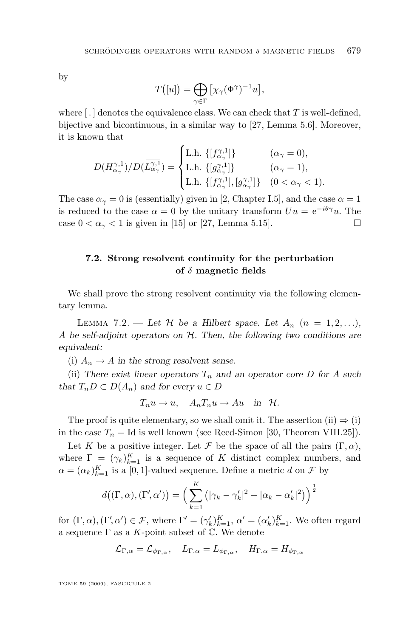<span id="page-21-0"></span>by

$$
T([u]) = \bigoplus_{\gamma \in \Gamma} [\chi_{\gamma}(\Phi^{\gamma})^{-1}u],
$$

where  $\lceil . \rceil$  denotes the equivalence class. We can check that T is well-defined, bijective and bicontinuous, in a similar way to [\[27,](#page-30-0) Lemma 5.6]. Moreover, it is known that

$$
D(H_{\alpha_{\gamma}}^{\gamma,1})/D(\overline{L_{\alpha_{\gamma}}^{\gamma,1}}) = \begin{cases} \text{L.h. } \{ [f_{\alpha_{\gamma}}^{\gamma,1}] \} & (\alpha_{\gamma} = 0), \\ \text{L.h. } \{ [g_{\alpha_{\gamma}}^{\gamma,1}] \} & (\alpha_{\gamma} = 1), \\ \text{L.h. } \{ [f_{\alpha_{\gamma}}^{\gamma,1}], [g_{\alpha_{\gamma}}^{\gamma,1}] \} & (0 < \alpha_{\gamma} < 1). \end{cases}
$$

The case  $\alpha_{\gamma} = 0$  is (essentially) given in [\[2,](#page-29-0) Chapter I.5], and the case  $\alpha = 1$ is reduced to the case  $\alpha = 0$  by the unitary transform  $Uu = e^{-i\theta \gamma}u$ . The case  $0 < \alpha_{\gamma} < 1$  is given in [\[15\]](#page-30-0) or [\[27,](#page-30-0) Lemma 5.15].

#### **7.2. Strong resolvent continuity for the perturbation of** δ **magnetic fields**

We shall prove the strong resolvent continuity via the following elementary lemma.

LEMMA 7.2. — Let H be a Hilbert space. Let  $A_n$   $(n = 1, 2, \ldots)$ , A *be self-adjoint operators on* H*. Then, the following two conditions are equivalent:*

(i)  $A_n \to A$  *in the strong resolvent sense.* 

(ii) There exist linear operators  $T_n$  and an operator core D for A such *that*  $T_n D \subset D(A_n)$  *and for every*  $u \in D$ 

$$
T_n u \to u, \quad A_n T_n u \to Au \quad \text{in} \quad \mathcal{H}.
$$

The proof is quite elementary, so we shall omit it. The assertion (ii)  $\Rightarrow$  (i) in the case  $T_n = \text{Id}$  is well known (see Reed-Simon [\[30,](#page-30-0) Theorem VIII.25]).

Let K be a positive integer. Let F be the space of all the pairs  $(\Gamma, \alpha)$ , where  $\Gamma = (\gamma_k)_{k=1}^K$  is a sequence of K distinct complex numbers, and  $\alpha = (\alpha_k)_{k=1}^K$  is a [0, 1]-valued sequence. Define a metric d on  $\mathcal F$  by

$$
d((\Gamma,\alpha),(\Gamma',\alpha')) = \left(\sum_{k=1}^K (|\gamma_k - \gamma'_k|^2 + |\alpha_k - \alpha'_k|^2) \right)^{\frac{1}{2}}
$$

for  $(\Gamma, \alpha)$ ,  $(\Gamma', \alpha') \in \mathcal{F}$ , where  $\Gamma' = (\gamma'_k)_{k=1}^K$ ,  $\alpha' = (\alpha'_k)_{k=1}^K$ . We often regard a sequence  $\Gamma$  as a K-point subset of  $\mathbb C$ . We denote

$$
\mathcal{L}_{\Gamma, \alpha} = \mathcal{L}_{\phi_{\Gamma, \alpha}}, \quad L_{\Gamma, \alpha} = L_{\phi_{\Gamma, \alpha}}, \quad H_{\Gamma, \alpha} = H_{\phi_{\Gamma, \alpha}}
$$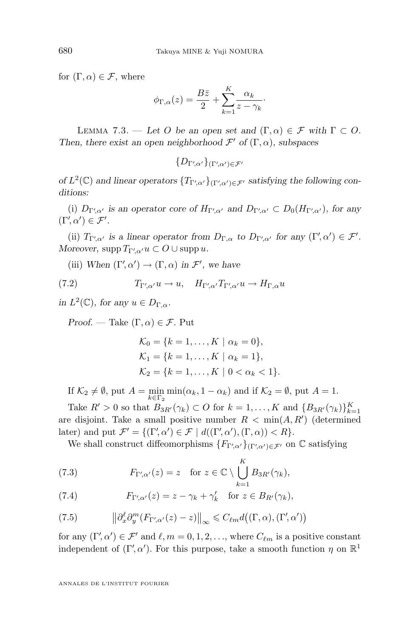for  $(\Gamma, \alpha) \in \mathcal{F}$ , where

$$
\phi_{\Gamma,\alpha}(z) = \frac{B\bar{z}}{2} + \sum_{k=1}^{K} \frac{\alpha_k}{z - \gamma_k}.
$$

LEMMA 7.3. — Let O be an open set and  $(\Gamma, \alpha) \in \mathcal{F}$  with  $\Gamma \subset O$ . *Then, there exist an open neighborhood*  $\mathcal{F}'$  of  $(\Gamma, \alpha)$ *, subspaces* 

 $\{D_{\Gamma'\!,\alpha'}\}_{(\Gamma'\!,\alpha')\in\mathcal{F}'}$ 

*of*  $L^2(\mathbb{C})$  and linear operators  $\{T_{\Gamma'\setminus\alpha'}\}_{(\Gamma'\setminus\alpha')\in\mathcal{F}'}$  satisfying the following con*ditions:*

(i)  $D_{\Gamma',\alpha'}$  is an operator core of  $H_{\Gamma',\alpha'}$  and  $D_{\Gamma',\alpha'} \subset D_0(H_{\Gamma',\alpha'})$ , for any  $(\Gamma', \alpha') \in \mathcal{F}'.$ 

(ii)  $T_{\Gamma'\!,\alpha'}$  is a linear operator from  $D_{\Gamma,\alpha}$  to  $D_{\Gamma'\!,\alpha'}$  for any  $(\Gamma',\alpha') \in \mathcal{F}'.$ *Moreover,*  $\text{supp } T_{\Gamma'\!,\alpha'} u \subset O \cup \text{supp } u$ .

(iii) When  $(\Gamma, \alpha') \to (\Gamma, \alpha)$  in  $\mathcal{F}'$ , we have

(7.2) 
$$
T_{\Gamma'\!,\alpha'}u \to u, \quad H_{\Gamma'\!,\alpha'}T_{\Gamma'\!,\alpha'}u \to H_{\Gamma,\alpha}u
$$

*in*  $L^2(\mathbb{C})$ *, for any*  $u \in D_{\Gamma,\alpha}$ *.* 

*Proof.* — Take  $(\Gamma, \alpha) \in \mathcal{F}$ . Put

$$
\mathcal{K}_0 = \{k = 1, ..., K \mid \alpha_k = 0\},
$$
  
\n
$$
\mathcal{K}_1 = \{k = 1, ..., K \mid \alpha_k = 1\},
$$
  
\n
$$
\mathcal{K}_2 = \{k = 1, ..., K \mid 0 < \alpha_k < 1\}.
$$

If  $\mathcal{K}_2 \neq \emptyset$ , put  $A = \min_{k \in \Gamma_2} \min(\alpha_k, 1 - \alpha_k)$  and if  $\mathcal{K}_2 = \emptyset$ , put  $A = 1$ .

Take  $R' > 0$  so that  $B_{3R'}(\gamma_k) \subset O$  for  $k = 1, ..., K$  and  $\{B_{3R'}(\gamma_k)\}_{k=1}^K$ are disjoint. Take a small positive number  $R < \min(A, R')$  (determined later) and put  $\mathcal{F}' = \{(\Gamma', \alpha') \in \mathcal{F} \mid d((\Gamma', \alpha'), (\Gamma, \alpha)) < R\}.$ 

We shall construct diffeomorphisms  $\{F_{\Gamma'\},\alpha'\}_{(\Gamma'\,,\alpha')\in\mathcal{F}'}$  on  $\mathbb C$  satisfying

(7.3) 
$$
F_{\Gamma'\!,\alpha'}(z) = z \quad \text{for } z \in \mathbb{C} \setminus \bigcup_{k=1}^K B_{3R'}(\gamma_k),
$$

(7.4) 
$$
F_{\Gamma'\!,\alpha'}(z) = z - \gamma_k + \gamma'_k \quad \text{for } z \in B_{R'}(\gamma_k),
$$

(7.5) 
$$
\left\|\partial_x^{\ell}\partial_y^m(F_{\Gamma'\!,\alpha'}(z)-z)\right\|_{\infty} \leq C_{\ell m}d\big((\Gamma,\alpha),(\Gamma',\alpha')\big)
$$

for any  $(\Gamma', \alpha') \in \mathcal{F}'$  and  $\ell, m = 0, 1, 2, \ldots$ , where  $C_{\ell m}$  is a positive constant independent of  $(\Gamma', \alpha')$ . For this purpose, take a smooth function  $\eta$  on  $\mathbb{R}^1$ 

<span id="page-22-0"></span>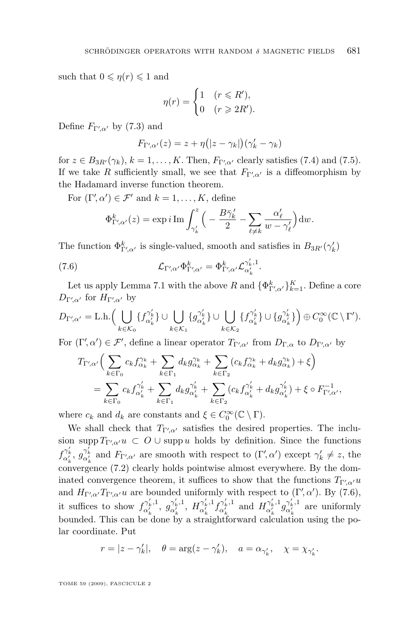such that  $0 \leqslant \eta(r) \leqslant 1$  and

$$
\eta(r) = \begin{cases} 1 & (r \leq R'), \\ 0 & (r \geq 2R'). \end{cases}
$$

Define  $F_{\Gamma'\!,\alpha'}$  by [\(7.3\)](#page-22-0) and

$$
F_{\Gamma'\!,\alpha'}(z)=z+\eta(|z-\gamma_k|)(\gamma_k'-\gamma_k)
$$

for  $z \in B_{3R'}(\gamma_k)$ ,  $k = 1, ..., K$ . Then,  $F_{\Gamma'\!,\alpha'}$  clearly satisfies [\(7.4\)](#page-22-0) and [\(7.5\)](#page-22-0). If we take R sufficiently small, we see that  $F_{\Gamma'\!,\alpha'}$  is a diffeomorphism by the Hadamard inverse function theorem.

For  $(\Gamma', \alpha') \in \mathcal{F}'$  and  $k = 1, \ldots, K$ , define

$$
\Phi_{\Gamma'\!,\alpha'}^k(z) = \exp i \operatorname{Im} \int_{\gamma'_k}^z \Big( -\frac{B\bar{\gamma}'_k}{2} - \sum_{\ell \neq k} \frac{\alpha'_\ell}{w - \gamma'_\ell} \Big) \mathrm{d}w.
$$

The function  $\Phi_{\Gamma'\!,\alpha'}^k$  is single-valued, smooth and satisfies in  $B_{3R'}(\gamma_k')$ 

(7.6) 
$$
\mathcal{L}_{\Gamma'\!,\alpha'}\Phi_{\Gamma'\!,\alpha'}^k = \Phi_{\Gamma'\!,\alpha'}^k \mathcal{L}_{\alpha'_k}^{\gamma'_k,1}.
$$

Let us apply Lemma [7.1](#page-20-0) with the above  $R$  and  $\{\Phi_{\Gamma',\alpha'}^k\}_{k=1}^K$ . Define a core  $D_{\Gamma'\!,\alpha'}$  for  $H_{\Gamma'\!,\alpha'}$  by

$$
D_{\Gamma',\alpha'} = \text{L.h.}\Big(\bigcup_{k\in\mathcal{K}_0} \{f_{\alpha'_k}^{\gamma'_k}\} \cup \bigcup_{k\in\mathcal{K}_1} \{g_{\alpha'_k}^{\gamma'_k}\} \cup \bigcup_{k\in\mathcal{K}_2} \{f_{\alpha'_k}^{\gamma'_k}\} \cup \{g_{\alpha'_k}^{\gamma'_k}\}\Big) \oplus C_0^{\infty}(\mathbb{C}\setminus\Gamma').
$$

For  $(\Gamma', \alpha') \in \mathcal{F}'$ , define a linear operator  $T_{\Gamma', \alpha'}$  from  $D_{\Gamma, \alpha}$  to  $D_{\Gamma', \alpha'}$  by

$$
T_{\Gamma'\!,\alpha'}\Big(\sum_{k\in\Gamma_0}c_kf^{\gamma_k}_{\alpha_k}+\sum_{k\in\Gamma_1}d_kg^{\gamma_k}_{\alpha_k}+\sum_{k\in\Gamma_2}(c_kf^{\gamma_k}_{\alpha_k}+d_kg^{\gamma_k}_{\alpha_k})+\xi\Big)\\=\sum_{k\in\Gamma_0}c_kf^{\gamma'_k}_{\alpha'_k}+\sum_{k\in\Gamma_1}d_kg^{\gamma'_k}_{\alpha'_k}+\sum_{k\in\Gamma_2}(c_kf^{\gamma'_k}_{\alpha'_k}+d_kg^{\gamma'_k}_{\alpha'_k})+\xi\circ F^{-1}_{\Gamma'\!,\alpha'},
$$

where  $c_k$  and  $d_k$  are constants and  $\xi \in C_0^{\infty}(\mathbb{C} \setminus \Gamma)$ .

We shall check that  $T_{\Gamma'\!\!,\alpha'}$  satisfies the desired properties. The inclusion supp  $T_{\Gamma'\!\!,\alpha'}u\ \subset\ O\cup\mathop{\rm supp} u$  holds by definition. Since the functions  $f_{\alpha'_k}^{\gamma'_k}, g_{\alpha'_k}^{\gamma'_k}$  and  $F_{\Gamma',\alpha'}$  are smooth with respect to  $(\Gamma',\alpha')$  except  $\gamma'_k \neq z$ , the convergence [\(7.2\)](#page-22-0) clearly holds pointwise almost everywhere. By the dominated convergence theorem, it suffices to show that the functions  $T_{\Gamma'\!,\alpha'}u$ and  $H_{\Gamma'\!,\alpha'}T_{\Gamma'\!,\alpha'}u$  are bounded uniformly with respect to  $(\Gamma',\alpha')$ . By  $(7.6)$ , it suffices to show  $f^{\gamma'_k,1}_{\alpha'_k}$ ,  $g^{\gamma'_k,1}_{\alpha'_k}$ ,  $H^{\gamma'_k,1}_{\alpha'_k}$   $f^{\gamma'_k,1}_{\alpha'_k}$  and  $H^{\gamma'_k,1}_{\alpha'_k}$   $g^{\gamma'_k,1}_{\alpha'_k}$  are uniformly bounded. This can be done by a straightforward calculation using the polar coordinate. Put

$$
r = |z - \gamma'_k|, \quad \theta = \arg(z - \gamma'_k), \quad a = \alpha_{\gamma'_k}, \quad \chi = \chi_{\gamma'_k}.
$$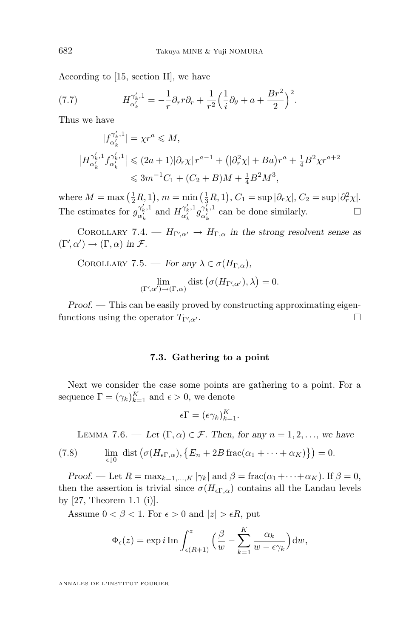<span id="page-24-0"></span>According to [\[15,](#page-30-0) section II], we have

(7.7) 
$$
H_{\alpha'_{k}}^{\gamma'_{k},1} = -\frac{1}{r}\partial_{r}r\partial_{r} + \frac{1}{r^{2}}\Big(\frac{1}{i}\partial_{\theta} + a + \frac{Br^{2}}{2}\Big)^{2}.
$$

Thus we have

$$
|f_{\alpha'_{k}}^{\gamma'_{k},1}| = \chi r^{a} \leqslant M,
$$
  
\n
$$
|H_{\alpha'_{k}}^{\gamma'_{k},1} f_{\alpha'_{k}}^{\gamma'_{k},1}| \leqslant (2a+1)|\partial_{r}\chi| r^{a-1} + (|\partial_{r}^{2}\chi| + Ba)r^{a} + \frac{1}{4}B^{2}\chi r^{a+2}
$$
  
\n
$$
\leq 3m^{-1}C_{1} + (C_{2} + B)M + \frac{1}{4}B^{2}M^{3},
$$

where  $M = \max\left(\frac{1}{2}R, 1\right), m = \min\left(\frac{1}{3}R, 1\right), C_1 = \sup|\partial_r \chi|, C_2 = \sup|\partial_r^2 \chi|.$ The estimates for  $g_{\alpha'_{k}}^{\gamma'_{k},1}$  and  $H_{\alpha'_{k}}^{\gamma'_{k},1} g_{\alpha'_{k}}^{\gamma'_{k},1}$  can be done similarly.

COROLLARY 7.4.  $-H_{\Gamma'\!\!,\alpha'} \rightarrow H_{\Gamma,\alpha}$  in the strong resolvent sense as  $(\Gamma', \alpha') \to (\Gamma, \alpha)$  *in*  $\mathcal{F}$ *.* 

COROLLARY 7.5. — *For any*  $\lambda \in \sigma(H_{\Gamma,\alpha})$ ,

$$
\lim_{(\Gamma',\alpha')\to(\Gamma,\alpha)}\mathrm{dist}\left(\sigma(H_{\Gamma',\alpha'}),\lambda\right)=0.
$$

*Proof.* — This can be easily proved by constructing approximating eigenfunctions using the operator  $T_{\Gamma'\!,\alpha'}$ .  $\Box$ 

#### **7.3. Gathering to a point**

Next we consider the case some points are gathering to a point. For a sequence  $\Gamma = (\gamma_k)_{k=1}^K$  and  $\epsilon > 0$ , we denote

$$
\epsilon \Gamma = (\epsilon \gamma_k)_{k=1}^K.
$$

LEMMA 7.6. — Let  $(\Gamma, \alpha) \in \mathcal{F}$ . Then, for any  $n = 1, 2, \ldots$ , we have

(7.8) 
$$
\lim_{\epsilon \downarrow 0} \text{ dist} \left( \sigma(H_{\epsilon \Gamma, \alpha}), \{ E_n + 2B \text{ frac}(\alpha_1 + \dots + \alpha_K) \} \right) = 0.
$$

*Proof.* — Let  $R = \max_{k=1,\dots,K} |\gamma_k|$  and  $\beta = \text{frac}(\alpha_1 + \dots + \alpha_K)$ . If  $\beta = 0$ , then the assertion is trivial since  $\sigma(H_{\epsilon\Gamma,\alpha})$  contains all the Landau levels by [\[27,](#page-30-0) Theorem 1.1 (i)].

Assume  $0 < \beta < 1$ . For  $\epsilon > 0$  and  $|z| > \epsilon R$ , put

$$
\Phi_{\epsilon}(z) = \exp i \operatorname{Im} \int_{\epsilon(R+1)}^{z} \left( \frac{\beta}{w} - \sum_{k=1}^{K} \frac{\alpha_k}{w - \epsilon \gamma_k} \right) dw,
$$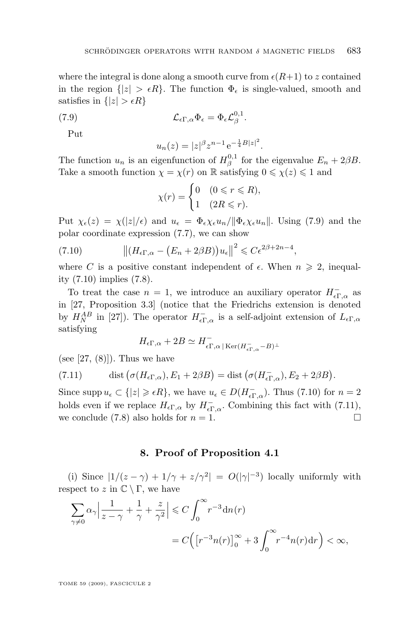<span id="page-25-0"></span>where the integral is done along a smooth curve from  $\epsilon(R+1)$  to z contained in the region  $\{|z| > \epsilon R\}$ . The function  $\Phi_{\epsilon}$  is single-valued, smooth and satisfies in  ${|z| > \epsilon R}$ 

(7.9) 
$$
\mathcal{L}_{\epsilon\Gamma,\alpha}\Phi_{\epsilon} = \Phi_{\epsilon}\mathcal{L}_{\beta}^{0,1}.
$$

Put

$$
u_n(z) = |z|^{\beta} z^{n-1} e^{-\frac{1}{4}B|z|^2}.
$$

The function  $u_n$  is an eigenfunction of  $H^{0,1}_{\beta}$  for the eigenvalue  $E_n + 2\beta B$ . Take a smooth function  $\chi = \chi(r)$  on R satisfying  $0 \leq \chi(z) \leq 1$  and

$$
\chi(r) = \begin{cases} 0 & (0 \le r \le R), \\ 1 & (2R \le r). \end{cases}
$$

Put  $\chi_{\epsilon}(z) = \chi(|z|/\epsilon)$  and  $u_{\epsilon} = \Phi_{\epsilon} \chi_{\epsilon} u_n / ||\Phi_{\epsilon} \chi_{\epsilon} u_n||$ . Using (7.9) and the polar coordinate expression [\(7.7\)](#page-24-0), we can show

(7.10) 
$$
\left\| \left( H_{\epsilon \Gamma, \alpha} - \left( E_n + 2\beta B \right) \right) u_{\epsilon} \right\|^2 \leqslant C \epsilon^{2\beta + 2n - 4},
$$

where C is a positive constant independent of  $\epsilon$ . When  $n \geq 2$ , inequality (7.10) implies [\(7.8\)](#page-24-0).

To treat the case  $n = 1$ , we introduce an auxiliary operator  $H_{\epsilon\Gamma,\alpha}^-$  as in [\[27,](#page-30-0) Proposition 3.3] (notice that the Friedrichs extension is denoted by  $H_N^{AB}$  in [\[27\]](#page-30-0)). The operator  $H_{\epsilon\Gamma,\alpha}^-$  is a self-adjoint extension of  $L_{\epsilon\Gamma,\alpha}$ satisfying

$$
H_{\epsilon\Gamma,\alpha} + 2B \simeq H_{\epsilon\Gamma,\alpha}^- | \operatorname{Ker}(H_{\epsilon\Gamma,\alpha}^- - B)^\perp
$$

(see  $[27, (8)]$  $[27, (8)]$ ). Thus we have

(7.11) dist 
$$
(\sigma(H_{\epsilon\Gamma,\alpha}), E_1 + 2\beta B) =
$$
dist  $(\sigma(H_{\epsilon\Gamma,\alpha}), E_2 + 2\beta B)$ .

Since supp  $u_{\epsilon} \subset \{|z| \geq \epsilon R\}$ , we have  $u_{\epsilon} \in D(H^{-}_{\epsilon\Gamma,\alpha})$ . Thus (7.10) for  $n = 2$ holds even if we replace  $H_{\epsilon\Gamma,\alpha}$  by  $H_{\epsilon\Gamma,\alpha}^-$ . Combining this fact with (7.11), we conclude [\(7.8\)](#page-24-0) also holds for  $n = 1$ .

#### **8. Proof of Proposition [4.1](#page-11-0)**

(i) Since  $|1/(z-\gamma) + 1/\gamma + z/\gamma^2| = O(|\gamma|^{-3})$  locally uniformly with respect to z in  $\mathbb{C} \setminus \Gamma$ , we have

$$
\sum_{\gamma \neq 0} \alpha_{\gamma} \left| \frac{1}{z - \gamma} + \frac{1}{\gamma} + \frac{z}{\gamma^2} \right| \leq C \int_0^{\infty} r^{-3} \mathrm{d}n(r)
$$
  
=  $C \left( \left[ r^{-3} n(r) \right]_0^{\infty} + 3 \int_0^{\infty} r^{-4} n(r) \mathrm{d}r \right) < \infty$ ,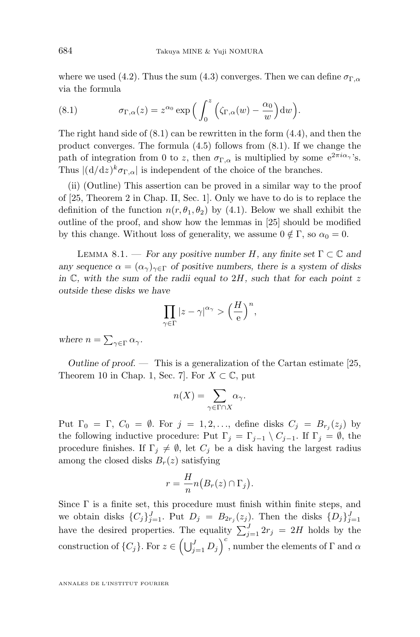<span id="page-26-0"></span>where we used [\(4.2\)](#page-11-0). Thus the sum [\(4.3\)](#page-11-0) converges. Then we can define  $\sigma_{\Gamma,\alpha}$ via the formula

(8.1) 
$$
\sigma_{\Gamma,\alpha}(z) = z^{\alpha_0} \exp\Big(\int_0^z \Big(\zeta_{\Gamma,\alpha}(w) - \frac{\alpha_0}{w}\Big) dw\Big).
$$

The right hand side of  $(8.1)$  can be rewritten in the form  $(4.4)$ , and then the product converges. The formula [\(4.5\)](#page-11-0) follows from (8.1). If we change the path of integration from 0 to z, then  $\sigma_{\Gamma,\alpha}$  is multiplied by some  $e^{2\pi i \alpha_{\gamma}}$ 's. Thus  $\left|\left(\frac{d}{dz}\right)^k \sigma_{\Gamma,\alpha}\right|$  is independent of the choice of the branches.

(ii) (Outline) This assertion can be proved in a similar way to the proof of [\[25,](#page-30-0) Theorem 2 in Chap. II, Sec. 1]. Only we have to do is to replace the definition of the function  $n(r, \theta_1, \theta_2)$  by [\(4.1\)](#page-10-0). Below we shall exhibit the outline of the proof, and show how the lemmas in [\[25\]](#page-30-0) should be modified by this change. Without loss of generality, we assume  $0 \notin \Gamma$ , so  $\alpha_0 = 0$ .

LEMMA 8.1. — *For any positive number* H, any finite set  $\Gamma \subset \mathbb{C}$  and *any sequence*  $\alpha = (\alpha_{\gamma})_{\gamma \in \Gamma}$  *of positive numbers, there is a system of disks in* C*, with the sum of the radii equal to* 2H*, such that for each point* z *outside these disks we have*

$$
\prod_{\gamma \in \Gamma} |z - \gamma|^{\alpha_{\gamma}} > \left(\frac{H}{e}\right)^n,
$$

where  $n = \sum_{\gamma \in \Gamma} \alpha_{\gamma}$ .

*Outline of proof. —* This is a generalization of the Cartan estimate [\[25,](#page-30-0) Theorem 10 in Chap. 1, Sec. 7. For  $X \subset \mathbb{C}$ , put

$$
n(X) = \sum_{\gamma \in \Gamma \cap X} \alpha_{\gamma}.
$$

Put  $\Gamma_0 = \Gamma$ ,  $C_0 = \emptyset$ . For  $j = 1, 2, \ldots$ , define disks  $C_j = B_{r_j}(z_j)$  by the following inductive procedure: Put  $\Gamma_j = \Gamma_{j-1} \setminus C_{j-1}$ . If  $\Gamma_j = \emptyset$ , the procedure finishes. If  $\Gamma_i \neq \emptyset$ , let  $C_i$  be a disk having the largest radius among the closed disks  $B_r(z)$  satisfying

$$
r = \frac{H}{n} n (B_r(z) \cap \Gamma_j).
$$

Since  $\Gamma$  is a finite set, this procedure must finish within finite steps, and we obtain disks  $\{C_j\}_{j=1}^J$ . Put  $D_j = B_{2r_j}(z_j)$ . Then the disks  $\{D_j\}_{j=1}^J$ have the desired properties. The equality  $\sum_{j=1}^{J} 2r_j = 2H$  holds by the construction of  $\{C_j\}$ . For  $z \in \left(\bigcup_{j=1}^J D_j\right)^c$ , number the elements of  $\Gamma$  and  $\alpha$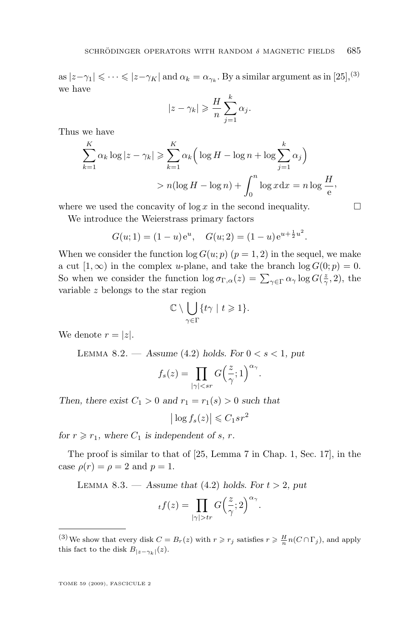<span id="page-27-0"></span>as  $|z-\gamma_1| \leqslant \cdots \leqslant |z-\gamma_K|$  and  $\alpha_k = \alpha_{\gamma_k}$ . By a similar argument as in [\[25\]](#page-30-0),<sup>(3)</sup> we have

$$
|z - \gamma_k| \geqslant \frac{H}{n} \sum_{j=1}^k \alpha_j.
$$

Thus we have

$$
\sum_{k=1}^{K} \alpha_k \log |z - \gamma_k| \ge \sum_{k=1}^{K} \alpha_k \left( \log H - \log n + \log \sum_{j=1}^{k} \alpha_j \right)
$$
  
>  $n(\log H - \log n) + \int_0^n \log x \, dx = n \log \frac{H}{e},$ 

where we used the concavity of  $\log x$  in the second inequality.  $\Box$ 

We introduce the Weierstrass primary factors

$$
G(u; 1) = (1 - u)e^u
$$
,  $G(u; 2) = (1 - u)e^{u + \frac{1}{2}u^2}$ .

When we consider the function  $\log G(u; p)$   $(p = 1, 2)$  in the sequel, we make a cut [1, ∞) in the complex u-plane, and take the branch  $log G(0; p) = 0$ . So when we consider the function  $\log \sigma_{\Gamma,\alpha}(z) = \sum_{\gamma \in \Gamma} \alpha_{\gamma} \log G(\frac{z}{\gamma},2)$ , the variable z belongs to the star region

$$
\mathbb{C}\setminus\bigcup_{\gamma\in\Gamma}\{t\gamma\mid t\geqslant 1\}.
$$

We denote  $r = |z|$ .

LEMMA  $8.2.$  — *Assume* [\(4](#page-11-0).2) *holds. For*  $0 < s < 1$ *, put* 

$$
f_s(z) = \prod_{|\gamma| < sr} G\left(\frac{z}{\gamma}; 1\right)^{\alpha_\gamma}.
$$

*Then, there exist*  $C_1 > 0$  *and*  $r_1 = r_1(s) > 0$  *such that* 

 $\left| \log f_s(z) \right| \leqslant C_1 s r^2$ 

*for*  $r \ge r_1$ *, where*  $C_1$  *is independent of s, r.* 

The proof is similar to that of [\[25,](#page-30-0) Lemma 7 in Chap. 1, Sec. 17], in the case  $\rho(r) = \rho = 2$  and  $p = 1$ .

LEMMA 8.3. — Assume that  $(4.2)$  $(4.2)$  holds. For  $t > 2$ , put

$$
_{t}f(z)=\prod_{|\gamma|>tr}G\Big(\frac{z}{\gamma};2\Big)^{\alpha_{\gamma}}.
$$

<sup>(3)</sup> We show that every disk  $C = B_r(z)$  with  $r \ge r_j$  satisfies  $r \ge \frac{H}{n} n(C \cap \Gamma_j)$ , and apply this fact to the disk  $B_{|z-\gamma_k|}(z)$ .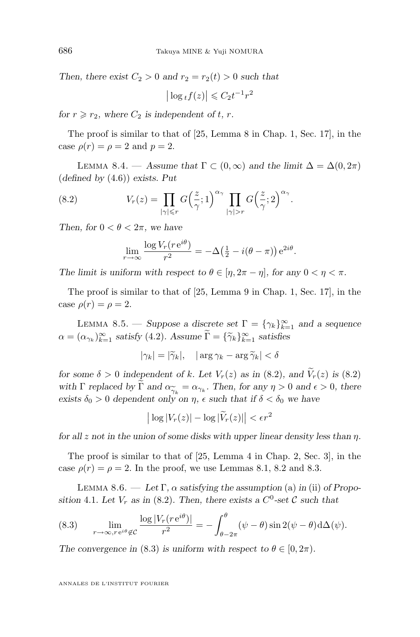*Then, there exist*  $C_2 > 0$  *and*  $r_2 = r_2(t) > 0$  *such that* 

$$
\left|\log_t f(z)\right| \leqslant C_2 t^{-1} r^2
$$

*for*  $r \ge r_2$ *, where*  $C_2$  *is independent of t, r.* 

The proof is similar to that of [\[25,](#page-30-0) Lemma 8 in Chap. 1, Sec. 17], in the case  $\rho(r) = \rho = 2$  and  $p = 2$ .

LEMMA 8.4. — Assume that  $\Gamma \subset (0,\infty)$  and the limit  $\Delta = \Delta(0,2\pi)$ (*defined by* [\(4](#page-11-0).6)) *exists. Put*

(8.2) 
$$
V_r(z) = \prod_{|\gamma| \leq r} G\left(\frac{z}{\gamma}; 1\right)^{\alpha_{\gamma}} \prod_{|\gamma| > r} G\left(\frac{z}{\gamma}; 2\right)^{\alpha_{\gamma}}.
$$

*Then, for*  $0 < \theta < 2\pi$ *, we have* 

$$
\lim_{r \to \infty} \frac{\log V_r(r e^{i\theta})}{r^2} = -\Delta \left(\frac{1}{2} - i(\theta - \pi)\right) e^{2i\theta}.
$$

*The limit is uniform with respect to*  $\theta \in [\eta, 2\pi - \eta]$ *, for any*  $0 < \eta < \pi$ *.* 

The proof is similar to that of [\[25,](#page-30-0) Lemma 9 in Chap. 1, Sec. 17], in the case  $\rho(r) = \rho = 2$ .

LEMMA 8.5. — *Suppose a discrete set*  $\Gamma = \{\gamma_k\}_{k=1}^{\infty}$  *and a sequence*  $\alpha = (\alpha_{\gamma_k})_{k=1}^{\infty}$  *satisfy* (4.[2\)](#page-11-0)*.* Assume  $\overline{\Gamma} = {\{\widetilde{\gamma}_k\}}_{k=1}^{\infty}$  *satisfies* 

$$
|\gamma_k| = |\widetilde{\gamma}_k|, \quad |\arg \gamma_k - \arg \widetilde{\gamma}_k| < \delta
$$

*for some*  $\delta > 0$  *independent of k. Let*  $V_r(z)$  *as in* (8.2)*, and*  $\widetilde{V}_r(z)$  *is* (8.2) *with*  $\Gamma$  *replaced by*  $\Gamma$  *and*  $\alpha_{\gamma_k} = \alpha_{\gamma_k}$ . Then, for any  $\eta > 0$  *and*  $\epsilon > 0$ , *there* exists  $\delta_0 > 0$  dependent only on *n*,  $\epsilon$  such that if  $\delta < \delta_0$  we have exists  $\delta_0 > 0$  dependent only on  $\eta$ ,  $\epsilon$  such that if  $\delta < \delta_0$  we have

$$
\left| \log |V_r(z)| - \log |\widetilde{V}_r(z)| \right| < \epsilon r^2
$$

*for all* z *not in the union of some disks with upper linear density less than* η*.*

The proof is similar to that of [\[25,](#page-30-0) Lemma 4 in Chap. 2, Sec. 3], in the case  $\rho(r) = \rho = 2$ . In the proof, we use Lemmas [8.1,](#page-26-0) [8.2](#page-27-0) and [8.3.](#page-27-0)

LEMMA 8.6. — Let  $\Gamma$ ,  $\alpha$  *satisfying the assumption* (a) *in* (ii) *of Proposition* [4](#page-11-0).1*.* Let  $V_r$  *as in* (8.2)*.* Then, there exists a  $C^0$ -set C such that

(8.3) 
$$
\lim_{r \to \infty, r \in i\theta \notin C} \frac{\log |V_r(r e^{i\theta})|}{r^2} = -\int_{\theta - 2\pi}^{\theta} (\psi - \theta) \sin 2(\psi - \theta) d\Delta(\psi).
$$

*The convergence in* (8.3) *is uniform with respect to*  $\theta \in [0, 2\pi)$ *.* 

<span id="page-28-0"></span>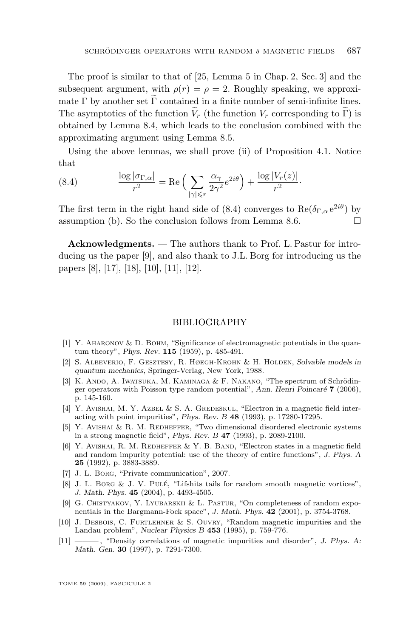<span id="page-29-0"></span>The proof is similar to that of [\[25,](#page-30-0) Lemma 5 in Chap. 2, Sec. 3] and the subsequent argument, with  $\rho(r) = \rho = 2$ . Roughly speaking, we approximate  $\Gamma$  by another set  $\widetilde{\Gamma}$  contained in a finite number of semi-infinite lines. The asymptotics of the function  $V_r$  (the function  $V_r$  corresponding to  $\tilde{\Gamma}$ ) is obtained by Lemma [8.4,](#page-28-0) which leads to the conclusion combined with the approximating argument using Lemma [8.5.](#page-28-0)

Using the above lemmas, we shall prove (ii) of Proposition [4.1.](#page-11-0) Notice that

(8.4) 
$$
\frac{\log |\sigma_{\Gamma,\alpha}|}{r^2} = \text{Re}\left(\sum_{|\gamma| \leq r} \frac{\alpha_\gamma}{2\gamma^2} e^{2i\theta}\right) + \frac{\log |V_r(z)|}{r^2}.
$$

The first term in the right hand side of (8.4) converges to  $\text{Re}(\delta_{\Gamma,\alpha} e^{2i\theta})$  by assumption (b). So the conclusion follows from Lemma [8.6.](#page-28-0)  $\Box$ 

**Acknowledgments.** — The authors thank to Prof. L. Pastur for introducing us the paper [9], and also thank to J.L. Borg for introducing us the papers [8], [\[17\]](#page-30-0), [\[18\]](#page-30-0), [10], [11], [\[12\]](#page-30-0).

#### BIBLIOGRAPHY

- [1] Y. Aharonov & D. Bohm, "Significance of electromagnetic potentials in the quantum theory", *Phys. Rev.* **115** (1959), p. 485-491.
- [2] S. Albeverio, F. Gesztesy, R. Høegh-Krohn & H. Holden, *Solvable models in quantum mechanics*, Springer-Verlag, New York, 1988.
- [3] K. Ando, A. Iwatsuka, M. Kaminaga & F. Nakano, "The spectrum of Schrödinger operators with Poisson type random potential", *Ann. Henri Poincaré* **7** (2006), p. 145-160.
- [4] Y. AVISHAI, M. Y. AZBEL & S. A. GREDESKUL, "Electron in a magnetic field interacting with point impurities", *Phys. Rev. B* **48** (1993), p. 17280-17295.
- [5] Y. AVISHAI & R. M. REDHEFFER, "Two dimensional disordered electronic systems in a strong magnetic field", *Phys. Rev. B* **47** (1993), p. 2089-2100.
- [6] Y. Avishai, R. M. Redheffer & Y. B. Band, "Electron states in a magnetic field and random impurity potential: use of the theory of entire functions", *J. Phys. A* **25** (1992), p. 3883-3889.
- [7] J. L. Borg, "Private communication", 2007.
- [8] J. L. Borg & J. V. Pulé, "Lifshits tails for random smooth magnetic vortices", *J. Math. Phys.* **45** (2004), p. 4493-4505.
- [9] G. CHISTYAKOV, Y. LYUBARSKII & L. PASTUR, "On completeness of random exponentials in the Bargmann-Fock space", *J. Math. Phys.* **42** (2001), p. 3754-3768.
- [10] J. Desbois, C. Furtlehner & S. Ouvry, "Random magnetic impurities and the Landau problem", *Nuclear Physics B* **453** (1995), p. 759-776.
- [11] ——— , "Density correlations of magnetic impurities and disorder", *J. Phys. A: Math. Gen.* **30** (1997), p. 7291-7300.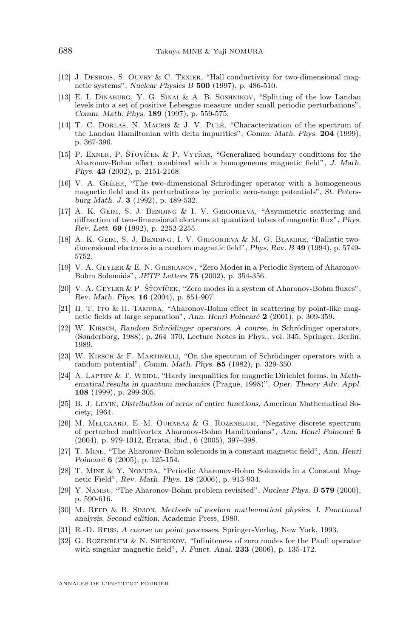- <span id="page-30-0"></span>[12] J. Desbois, S. Ouvry & C. Texier, "Hall conductivity for two-dimensional magnetic systems", *Nuclear Physics B* **500** (1997), p. 486-510.
- [13] E. I. Dinaburg, Y. G. Sinai & A. B. Soshnikov, "Splitting of the low Landau levels into a set of positive Lebesgue measure under small periodic perturbations", *Comm. Math. Phys.* **189** (1997), p. 559-575.
- [14] T. C. Dorlas, N. Macris & J. V. Pulé, "Characterization of the spectrum of the Landau Hamiltonian with delta impurities", *Comm. Math. Phys.* **204** (1999), p. 367-396.
- [15] P. Exner, P. Šťovíček & P. Vytřas, "Generalized boundary conditions for the Aharonov-Bohm effect combined with a homogeneous magnetic field", *J. Math. Phys.* **43** (2002), p. 2151-2168.
- [16] V. A. GEILER, "The two-dimensional Schrödinger operator with a homogeneous magnetic field and its perturbations by periodic zero-range potentials", *St. Petersburg Math. J.* **3** (1992), p. 489-532.
- [17] A. K. Geim, S. J. Bending & I. V. Grigorieva, "Asymmetric scattering and diffraction of two-dimensional electrons at quantized tubes of magnetic flux", *Phys. Rev. Lett.* **69** (1992), p. 2252-2255.
- [18] A. K. Geim, S. J. Bending, I. V. Grigorieva & M. G. Blamire, "Ballistic twodimensional electrons in a random magnetic field", *Phys. Rev. B* **49** (1994), p. 5749- 5752.
- [19] V. A. Geyler & E. N. Grishanov, "Zero Modes in a Periodic System of Aharonov-Bohm Solenoids", *JETP Letters* **75** (2002), p. 354-356.
- [20] V. A. Geyler & P. Šťovíček, "Zero modes in a system of Aharonov-Bohm fluxes", *Rev. Math. Phys.* **16** (2004), p. 851-907.
- [21] H. T. Ito & H. Tamura, "Aharonov-Bohm effect in scattering by point-like magnetic fields at large separation", *Ann. Henri Poincaré* **2** (2001), p. 309-359.
- [22] W. Kirsch, *Random Schrödinger operators. A course, in* Schrödinger operators*,* (Sønderborg, 1988), p. 264–370, Lecture Notes in Phys., vol. 345, Springer, Berlin, 1989.
- [23] W. Kirsch & F. Martinelli, "On the spectrum of Schrödinger operators with a random potential", *Comm. Math. Phys.* **85** (1982), p. 329-350.
- [24] A. LAPTEV & T. WEIDL, "Hardy inequalities for magnetic Dirichlet forms, in *Mathematical results in quantum mechanics* (Prague, 1998)", *Oper. Theory Adv. Appl.* **108** (1999), p. 299-305.
- [25] B. J. Levin, *Distribution of zeros of entire functions*, American Mathematical Society, 1964.
- [26] M. Melgaard, E.-M. Ouhabaz & G. Rozenblum, "Negative discrete spectrum of perturbed multivortex Aharonov-Bohm Hamiltonians", *Ann. Henri Poincaré* **5** (2004), p. 979-1012, Errata, *ibid.*, 6 (2005), 397–398.
- [27] T. Mine, "The Aharonov-Bohm solenoids in a constant magnetic field", *Ann. Henri Poincaré* **6** (2005), p. 125-154.
- [28] T. Mine & Y. Nomura, "Periodic Aharonov-Bohm Solenoids in a Constant Magnetic Field", *Rev. Math. Phys.* **18** (2006), p. 913-934.
- [29] Y. Nambu, "The Aharonov-Bohm problem revisited", *Nuclear Phys. B* **579** (2000), p. 590-616.
- [30] M. Reed & B. Simon, *Methods of modern mathematical physics. I. Functional analysis. Second edition*, Academic Press, 1980.
- [31] R.-D. Reiss, *A course on point processes*, Springer-Verlag, New York, 1993.
- [32] G. ROZENBLUM & N. SHIROKOV, "Infiniteness of zero modes for the Pauli operator with singular magnetic field", *J. Funct. Anal.* **233** (2006), p. 135-172.